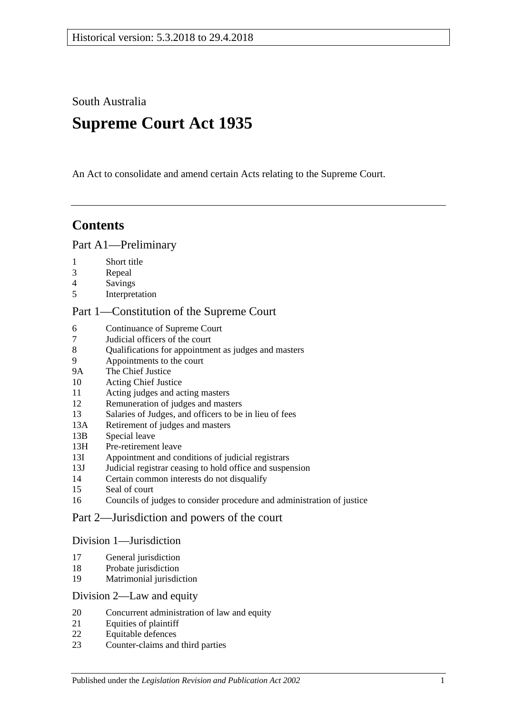South Australia

# **Supreme Court Act 1935**

An Act to consolidate and amend certain Acts relating to the Supreme Court.

# **Contents**

### [Part A1—Preliminary](#page-3-0)

- 1 [Short title](#page-3-1)
- 3 [Repeal](#page-3-2)
- 4 [Savings](#page-3-3)
- 5 [Interpretation](#page-3-4)

# [Part 1—Constitution of the Supreme Court](#page-5-0)

- 6 [Continuance of](#page-5-1) Supreme Court<br>7 Judicial officers of the court
- 7 [Judicial officers of the court](#page-5-2)
- 8 [Qualifications for appointment as judges and masters](#page-5-3)
- 9 [Appointments to the court](#page-6-0)
- 9A [The Chief Justice](#page-6-1)
- 10 [Acting Chief Justice](#page-6-2)
- 11 [Acting judges and acting masters](#page-6-3)
- 12 [Remuneration of judges and masters](#page-7-0)
- 13 [Salaries of Judges, and officers to be in lieu of fees](#page-7-1)<br>13A Retirement of iudges and masters
- [Retirement of judges and masters](#page-7-2)
- 13B [Special leave](#page-7-3)
- 13H [Pre-retirement leave](#page-8-0)
- 13I [Appointment and conditions of judicial registrars](#page-9-0)
- 13J [Judicial registrar ceasing to hold office and suspension](#page-10-0)
- 14 [Certain common interests do not disqualify](#page-10-1)
- 15 [Seal of court](#page-11-0)
- 16 [Councils of judges to consider procedure and administration of justice](#page-11-1)

### [Part 2—Jurisdiction and powers of the court](#page-11-2)

### [Division 1—Jurisdiction](#page-11-3)

- 17 [General jurisdiction](#page-11-4)
- 18 [Probate jurisdiction](#page-12-0)
- 19 [Matrimonial jurisdiction](#page-12-1)

### [Division 2—Law and equity](#page-12-2)

- 20 [Concurrent administration of law and equity](#page-12-3)
- 21 [Equities of plaintiff](#page-12-4)
- 22 [Equitable defences](#page-13-0)
- 23 [Counter-claims and third parties](#page-13-1)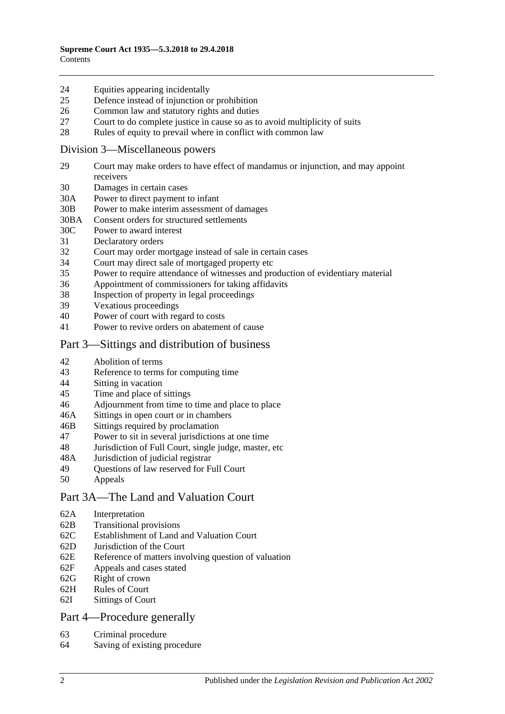### 24 [Equities appearing incidentally](#page-13-2)

- 25 [Defence instead of injunction or prohibition](#page-13-3)
- 26 [Common law and statutory rights and duties](#page-14-0)
- 27 [Court to do complete justice in cause so as to avoid multiplicity of suits](#page-14-1)
- 28 [Rules of equity to prevail where in conflict with common law](#page-14-2)

### [Division 3—Miscellaneous powers](#page-14-3)

- 29 [Court may make orders to have effect of mandamus or injunction, and may appoint](#page-14-4)  [receivers](#page-14-4)
- 30 [Damages in certain cases](#page-15-0)
- 30A [Power to direct payment to infant](#page-15-1)
- 30B [Power to make interim assessment of damages](#page-15-2)
- 30BA [Consent orders for structured settlements](#page-18-0)
- 30C [Power to award interest](#page-18-1)
- 31 [Declaratory orders](#page-19-0)
- 32 [Court may order mortgage instead of sale in certain cases](#page-19-1)
- 34 [Court may direct sale of mortgaged property etc](#page-19-2)
- 35 [Power to require attendance of witnesses and production of evidentiary material](#page-19-3)
- 36 [Appointment of commissioners for taking affidavits](#page-20-0)
- 38 [Inspection of property in legal proceedings](#page-20-1)<br>39 Vexations proceedings
- [Vexatious proceedings](#page-20-2)
- 40 [Power of court with regard to costs](#page-21-0)
- 41 [Power to revive orders on abatement of cause](#page-21-1)

### [Part 3—Sittings and distribution of business](#page-21-2)

- 42 [Abolition of terms](#page-21-3)
- 43 [Reference to terms for computing time](#page-21-4)
- 44 Sitting [in vacation](#page-21-5)
- 45 [Time and place of sittings](#page-22-0)
- 46 [Adjournment from time to time and place to place](#page-22-1)
- 46A [Sittings in open court or in chambers](#page-22-2)
- 46B [Sittings required by proclamation](#page-22-3)
- 47 [Power to sit in several jurisdictions at one time](#page-22-4)
- 48 [Jurisdiction of Full Court, single judge, master, etc](#page-22-5)
- 48A [Jurisdiction of judicial registrar](#page-23-0)
- 49 [Questions of law reserved for Full Court](#page-23-1)
- 50 [Appeals](#page-23-2)

# [Part 3A—The Land and Valuation Court](#page-25-0)

- 62A [Interpretation](#page-25-1)
- 62B [Transitional provisions](#page-25-2)
- 62C [Establishment of Land and Valuation Court](#page-25-3)
- 62D [Jurisdiction of the Court](#page-26-0)
- 62E [Reference of matters involving question of valuation](#page-27-0)
- 62F [Appeals and cases stated](#page-27-1)
- 62G [Right of crown](#page-27-2)
- 62H [Rules of Court](#page-27-3)
- 62I [Sittings of Court](#page-28-0)

# [Part 4—Procedure generally](#page-28-1)

- 63 [Criminal procedure](#page-28-2)
- 64 [Saving of existing procedure](#page-28-3)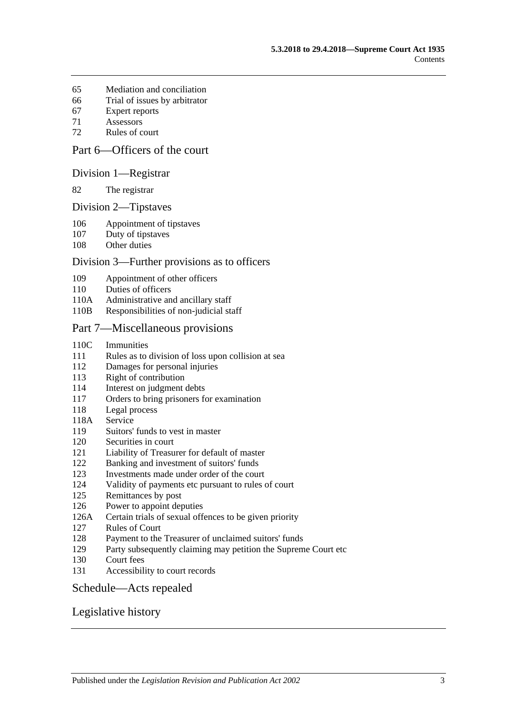- [Mediation and conciliation](#page-28-4)
- [Trial of issues by arbitrator](#page-29-0)
- [Expert reports](#page-29-1)
- [Assessors](#page-29-2)
- [Rules of court](#page-29-3)

# [Part 6—Officers of the court](#page-31-0)

### [Division 1—Registrar](#page-31-1)

[The registrar](#page-31-2)

#### [Division 2—Tipstaves](#page-31-3)

- [Appointment of tipstaves](#page-31-4)
- [Duty of tipstaves](#page-31-5)
- [Other duties](#page-31-6)

### [Division 3—Further provisions as to officers](#page-32-0)

- [Appointment of other officers](#page-32-1)
- [Duties of officers](#page-32-2)
- 110A [Administrative and ancillary staff](#page-32-3)
- 110B [Responsibilities of non-judicial staff](#page-32-4)

### [Part 7—Miscellaneous provisions](#page-32-5)

- 110C [Immunities](#page-32-6)
- Rules as to division [of loss upon collision at sea](#page-33-0)
- [Damages for personal injuries](#page-33-1)
- [Right of contribution](#page-33-2)
- [Interest on judgment debts](#page-34-0)
- [Orders to bring prisoners for examination](#page-34-1)
- [Legal process](#page-34-2)
- 118A [Service](#page-34-3)
- [Suitors' funds to vest in master](#page-34-4)
- [Securities in court](#page-35-0)
- [Liability of Treasurer for default of master](#page-35-1)
- [Banking and investment of suitors' funds](#page-35-2)
- [Investments made under order of the court](#page-35-3)
- [Validity of payments etc pursuant to rules of court](#page-35-4)
- [Remittances by post](#page-35-5)
- [Power to appoint deputies](#page-36-0)
- 126A [Certain trials of sexual offences to be given priority](#page-36-1)
- [Rules of Court](#page-36-2)
- [Payment to the Treasurer of unclaimed suitors' funds](#page-37-0)
- [Party subsequently claiming may petition the Supreme Court etc](#page-37-1)
- [Court fees](#page-37-2)
- [Accessibility to court records](#page-38-0)

### [Schedule—Acts repealed](#page-39-0)

### [Legislative history](#page-42-0)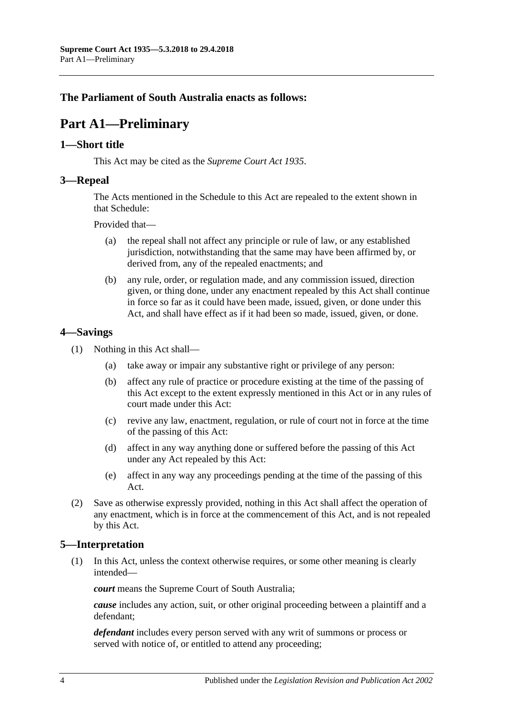# <span id="page-3-0"></span>**The Parliament of South Australia enacts as follows:**

# **Part A1—Preliminary**

### <span id="page-3-1"></span>**1—Short title**

This Act may be cited as the *Supreme Court Act 1935*.

### <span id="page-3-2"></span>**3—Repeal**

The Acts mentioned in the [Schedule](#page-39-0) to this Act are repealed to the extent shown in that [Schedule:](#page-39-0)

Provided that—

- (a) the repeal shall not affect any principle or rule of law, or any established jurisdiction, notwithstanding that the same may have been affirmed by, or derived from, any of the repealed enactments; and
- (b) any rule, order, or regulation made, and any commission issued, direction given, or thing done, under any enactment repealed by this Act shall continue in force so far as it could have been made, issued, given, or done under this Act, and shall have effect as if it had been so made, issued, given, or done.

### <span id="page-3-3"></span>**4—Savings**

- (1) Nothing in this Act shall—
	- (a) take away or impair any substantive right or privilege of any person:
	- (b) affect any rule of practice or procedure existing at the time of the passing of this Act except to the extent expressly mentioned in this Act or in any rules of court made under this Act:
	- (c) revive any law, enactment, regulation, or rule of court not in force at the time of the passing of this Act:
	- (d) affect in any way anything done or suffered before the passing of this Act under any Act repealed by this Act:
	- (e) affect in any way any proceedings pending at the time of the passing of this Act.
- (2) Save as otherwise expressly provided, nothing in this Act shall affect the operation of any enactment, which is in force at the commencement of this Act, and is not repealed by this Act.

# <span id="page-3-4"></span>**5—Interpretation**

(1) In this Act, unless the context otherwise requires, or some other meaning is clearly intended—

*court* means the Supreme Court of South Australia;

*cause* includes any action, suit, or other original proceeding between a plaintiff and a defendant;

*defendant* includes every person served with any writ of summons or process or served with notice of, or entitled to attend any proceeding;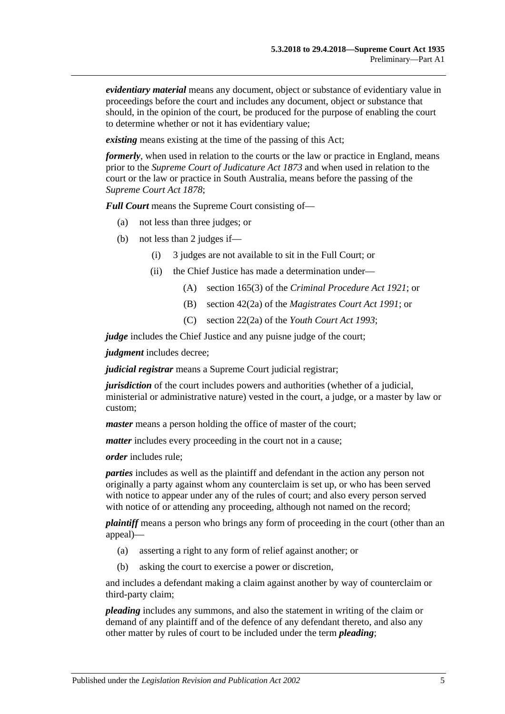*evidentiary material* means any document, object or substance of evidentiary value in proceedings before the court and includes any document, object or substance that should, in the opinion of the court, be produced for the purpose of enabling the court to determine whether or not it has evidentiary value;

*existing* means existing at the time of the passing of this Act;

*formerly*, when used in relation to the courts or the law or practice in England, means prior to the *[Supreme Court of Judicature Act](http://www.legislation.sa.gov.au/index.aspx?action=legref&type=act&legtitle=Supreme%20Court%20of%20Judicature%20Act%201873) 1873* and when used in relation to the court or the law or practice in South Australia, means before the passing of the *[Supreme Court Act](http://www.legislation.sa.gov.au/index.aspx?action=legref&type=act&legtitle=Supreme%20Court%20Act%201878) 1878*;

*Full Court* means the Supreme Court consisting of—

- (a) not less than three judges; or
- (b) not less than 2 judges if—
	- (i) 3 judges are not available to sit in the Full Court; or
	- (ii) the Chief Justice has made a determination under—
		- (A) section 165(3) of the *[Criminal Procedure Act 1921](http://www.legislation.sa.gov.au/index.aspx?action=legref&type=act&legtitle=Criminal%20Procedure%20Act%201921)*; or
		- (B) section 42(2a) of the *[Magistrates Court Act](http://www.legislation.sa.gov.au/index.aspx?action=legref&type=act&legtitle=Magistrates%20Court%20Act%201991) 1991*; or
		- (C) section 22(2a) of the *[Youth Court Act](http://www.legislation.sa.gov.au/index.aspx?action=legref&type=act&legtitle=Youth%20Court%20Act%201993) 1993*;

*judge* includes the Chief Justice and any puisne judge of the court;

*judgment* includes decree;

*judicial registrar* means a Supreme Court judicial registrar;

*jurisdiction* of the court includes powers and authorities (whether of a judicial, ministerial or administrative nature) vested in the court, a judge, or a master by law or custom;

*master* means a person holding the office of master of the court;

*matter* includes every proceeding in the court not in a cause;

*order* includes rule;

*parties* includes as well as the plaintiff and defendant in the action any person not originally a party against whom any counterclaim is set up, or who has been served with notice to appear under any of the rules of court; and also every person served with notice of or attending any proceeding, although not named on the record;

*plaintiff* means a person who brings any form of proceeding in the court (other than an appeal)—

- (a) asserting a right to any form of relief against another; or
- (b) asking the court to exercise a power or discretion,

and includes a defendant making a claim against another by way of counterclaim or third-party claim;

*pleading* includes any summons, and also the statement in writing of the claim or demand of any plaintiff and of the defence of any defendant thereto, and also any other matter by rules of court to be included under the term *pleading*;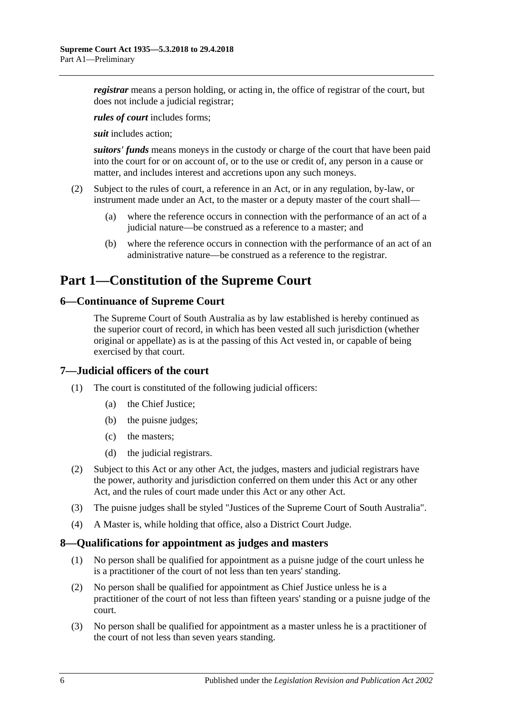*registrar* means a person holding, or acting in, the office of registrar of the court, but does not include a judicial registrar;

*rules of court* includes forms;

*suit* includes action;

*suitors' funds* means moneys in the custody or charge of the court that have been paid into the court for or on account of, or to the use or credit of, any person in a cause or matter, and includes interest and accretions upon any such moneys.

- (2) Subject to the rules of court, a reference in an Act, or in any regulation, by-law, or instrument made under an Act, to the master or a deputy master of the court shall—
	- (a) where the reference occurs in connection with the performance of an act of a judicial nature—be construed as a reference to a master; and
	- (b) where the reference occurs in connection with the performance of an act of an administrative nature—be construed as a reference to the registrar.

# <span id="page-5-0"></span>**Part 1—Constitution of the Supreme Court**

# <span id="page-5-1"></span>**6—Continuance of Supreme Court**

The Supreme Court of South Australia as by law established is hereby continued as the superior court of record, in which has been vested all such jurisdiction (whether original or appellate) as is at the passing of this Act vested in, or capable of being exercised by that court.

# <span id="page-5-2"></span>**7—Judicial officers of the court**

- (1) The court is constituted of the following judicial officers:
	- (a) the Chief Justice;
	- (b) the puisne judges;
	- (c) the masters;
	- (d) the judicial registrars.
- (2) Subject to this Act or any other Act, the judges, masters and judicial registrars have the power, authority and jurisdiction conferred on them under this Act or any other Act, and the rules of court made under this Act or any other Act.
- (3) The puisne judges shall be styled "Justices of the Supreme Court of South Australia".
- (4) A Master is, while holding that office, also a District Court Judge.

### <span id="page-5-3"></span>**8—Qualifications for appointment as judges and masters**

- (1) No person shall be qualified for appointment as a puisne judge of the court unless he is a practitioner of the court of not less than ten years' standing.
- (2) No person shall be qualified for appointment as Chief Justice unless he is a practitioner of the court of not less than fifteen years' standing or a puisne judge of the court.
- (3) No person shall be qualified for appointment as a master unless he is a practitioner of the court of not less than seven years standing.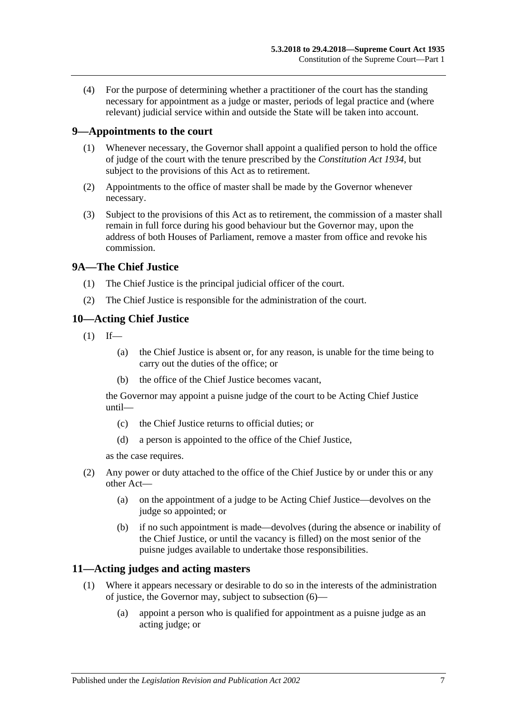(4) For the purpose of determining whether a practitioner of the court has the standing necessary for appointment as a judge or master, periods of legal practice and (where relevant) judicial service within and outside the State will be taken into account.

# <span id="page-6-0"></span>**9—Appointments to the court**

- (1) Whenever necessary, the Governor shall appoint a qualified person to hold the office of judge of the court with the tenure prescribed by the *[Constitution Act](http://www.legislation.sa.gov.au/index.aspx?action=legref&type=act&legtitle=Constitution%20Act%201934) 1934*, but subject to the provisions of this Act as to retirement.
- (2) Appointments to the office of master shall be made by the Governor whenever necessary.
- (3) Subject to the provisions of this Act as to retirement, the commission of a master shall remain in full force during his good behaviour but the Governor may, upon the address of both Houses of Parliament, remove a master from office and revoke his commission.

# <span id="page-6-1"></span>**9A—The Chief Justice**

- (1) The Chief Justice is the principal judicial officer of the court.
- (2) The Chief Justice is responsible for the administration of the court.

# <span id="page-6-2"></span>**10—Acting Chief Justice**

- $(1)$  If—
	- (a) the Chief Justice is absent or, for any reason, is unable for the time being to carry out the duties of the office; or
	- (b) the office of the Chief Justice becomes vacant,

the Governor may appoint a puisne judge of the court to be Acting Chief Justice until—

- (c) the Chief Justice returns to official duties; or
- (d) a person is appointed to the office of the Chief Justice,

as the case requires.

- (2) Any power or duty attached to the office of the Chief Justice by or under this or any other Act—
	- (a) on the appointment of a judge to be Acting Chief Justice—devolves on the judge so appointed; or
	- (b) if no such appointment is made—devolves (during the absence or inability of the Chief Justice, or until the vacancy is filled) on the most senior of the puisne judges available to undertake those responsibilities.

# <span id="page-6-4"></span><span id="page-6-3"></span>**11—Acting judges and acting masters**

- (1) Where it appears necessary or desirable to do so in the interests of the administration of justice, the Governor may, subject to [subsection](#page-7-4) (6)—
	- (a) appoint a person who is qualified for appointment as a puisne judge as an acting judge; or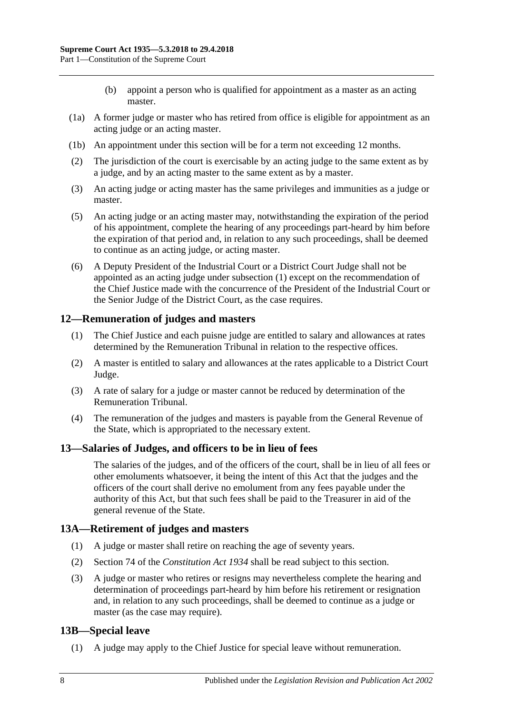- (b) appoint a person who is qualified for appointment as a master as an acting master.
- (1a) A former judge or master who has retired from office is eligible for appointment as an acting judge or an acting master.
- (1b) An appointment under this section will be for a term not exceeding 12 months.
- (2) The jurisdiction of the court is exercisable by an acting judge to the same extent as by a judge, and by an acting master to the same extent as by a master.
- (3) An acting judge or acting master has the same privileges and immunities as a judge or master.
- (5) An acting judge or an acting master may, notwithstanding the expiration of the period of his appointment, complete the hearing of any proceedings part-heard by him before the expiration of that period and, in relation to any such proceedings, shall be deemed to continue as an acting judge, or acting master.
- <span id="page-7-4"></span>(6) A Deputy President of the Industrial Court or a District Court Judge shall not be appointed as an acting judge under [subsection](#page-6-4) (1) except on the recommendation of the Chief Justice made with the concurrence of the President of the Industrial Court or the Senior Judge of the District Court, as the case requires.

# <span id="page-7-0"></span>**12—Remuneration of judges and masters**

- (1) The Chief Justice and each puisne judge are entitled to salary and allowances at rates determined by the Remuneration Tribunal in relation to the respective offices.
- (2) A master is entitled to salary and allowances at the rates applicable to a District Court Judge.
- (3) A rate of salary for a judge or master cannot be reduced by determination of the Remuneration Tribunal.
- (4) The remuneration of the judges and masters is payable from the General Revenue of the State, which is appropriated to the necessary extent.

### <span id="page-7-1"></span>**13—Salaries of Judges, and officers to be in lieu of fees**

The salaries of the judges, and of the officers of the court, shall be in lieu of all fees or other emoluments whatsoever, it being the intent of this Act that the judges and the officers of the court shall derive no emolument from any fees payable under the authority of this Act, but that such fees shall be paid to the Treasurer in aid of the general revenue of the State.

# <span id="page-7-2"></span>**13A—Retirement of judges and masters**

- (1) A judge or master shall retire on reaching the age of seventy years.
- (2) Section 74 of the *[Constitution Act](http://www.legislation.sa.gov.au/index.aspx?action=legref&type=act&legtitle=Constitution%20Act%201934) 1934* shall be read subject to this section.
- (3) A judge or master who retires or resigns may nevertheless complete the hearing and determination of proceedings part-heard by him before his retirement or resignation and, in relation to any such proceedings, shall be deemed to continue as a judge or master (as the case may require).

# <span id="page-7-3"></span>**13B—Special leave**

(1) A judge may apply to the Chief Justice for special leave without remuneration.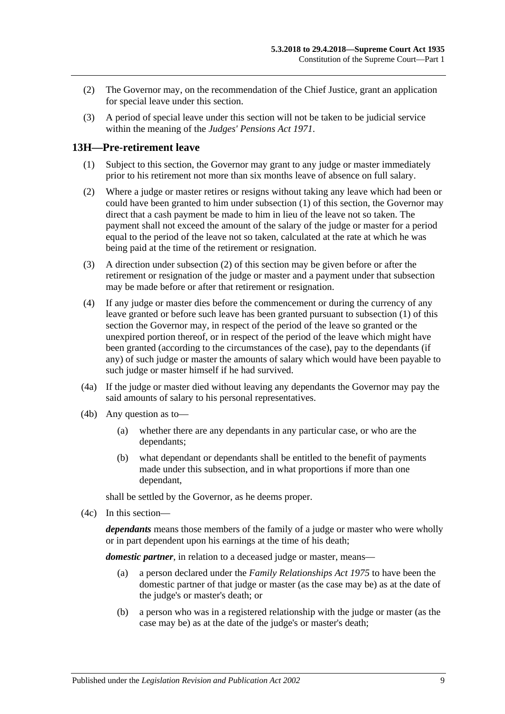- (2) The Governor may, on the recommendation of the Chief Justice, grant an application for special leave under this section.
- (3) A period of special leave under this section will not be taken to be judicial service within the meaning of the *[Judges' Pensions Act](http://www.legislation.sa.gov.au/index.aspx?action=legref&type=act&legtitle=Judges%20Pensions%20Act%201971) 1971*.

# <span id="page-8-1"></span><span id="page-8-0"></span>**13H—Pre-retirement leave**

- (1) Subject to this section, the Governor may grant to any judge or master immediately prior to his retirement not more than six months leave of absence on full salary.
- <span id="page-8-2"></span>(2) Where a judge or master retires or resigns without taking any leave which had been or could have been granted to him under [subsection](#page-8-1) (1) of this section, the Governor may direct that a cash payment be made to him in lieu of the leave not so taken. The payment shall not exceed the amount of the salary of the judge or master for a period equal to the period of the leave not so taken, calculated at the rate at which he was being paid at the time of the retirement or resignation.
- (3) A direction under [subsection](#page-8-2) (2) of this section may be given before or after the retirement or resignation of the judge or master and a payment under that subsection may be made before or after that retirement or resignation.
- (4) If any judge or master dies before the commencement or during the currency of any leave granted or before such leave has been granted pursuant to [subsection](#page-8-1) (1) of this section the Governor may, in respect of the period of the leave so granted or the unexpired portion thereof, or in respect of the period of the leave which might have been granted (according to the circumstances of the case), pay to the dependants (if any) of such judge or master the amounts of salary which would have been payable to such judge or master himself if he had survived.
- (4a) If the judge or master died without leaving any dependants the Governor may pay the said amounts of salary to his personal representatives.
- (4b) Any question as to—
	- (a) whether there are any dependants in any particular case, or who are the dependants;
	- (b) what dependant or dependants shall be entitled to the benefit of payments made under this subsection, and in what proportions if more than one dependant,

shall be settled by the Governor, as he deems proper.

(4c) In this section—

*dependants* means those members of the family of a judge or master who were wholly or in part dependent upon his earnings at the time of his death;

*domestic partner*, in relation to a deceased judge or master, means—

- (a) a person declared under the *[Family Relationships Act](http://www.legislation.sa.gov.au/index.aspx?action=legref&type=act&legtitle=Family%20Relationships%20Act%201975) 1975* to have been the domestic partner of that judge or master (as the case may be) as at the date of the judge's or master's death; or
- (b) a person who was in a registered relationship with the judge or master (as the case may be) as at the date of the judge's or master's death;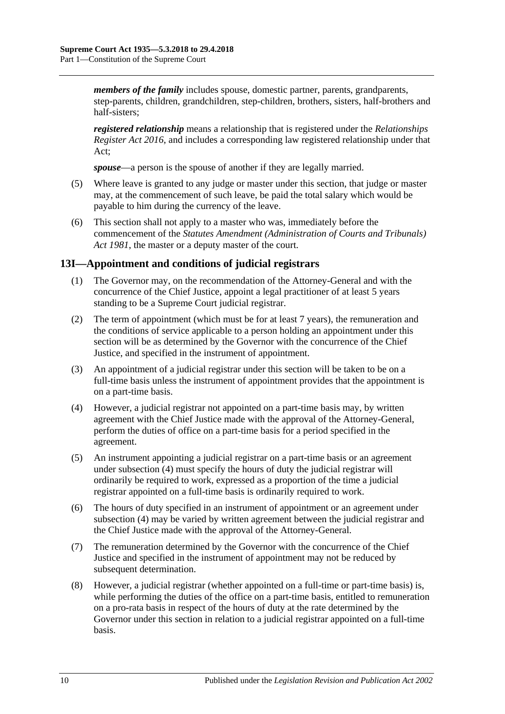*members of the family* includes spouse, domestic partner, parents, grandparents, step-parents, children, grandchildren, step-children, brothers, sisters, half-brothers and half-sisters;

*registered relationship* means a relationship that is registered under the *[Relationships](http://www.legislation.sa.gov.au/index.aspx?action=legref&type=act&legtitle=Relationships%20Register%20Act%202016)  [Register Act 2016](http://www.legislation.sa.gov.au/index.aspx?action=legref&type=act&legtitle=Relationships%20Register%20Act%202016)*, and includes a corresponding law registered relationship under that Act;

*spouse*—a person is the spouse of another if they are legally married.

- (5) Where leave is granted to any judge or master under this section, that judge or master may, at the commencement of such leave, be paid the total salary which would be payable to him during the currency of the leave.
- (6) This section shall not apply to a master who was, immediately before the commencement of the *[Statutes Amendment \(Administration of Courts and Tribunals\)](http://www.legislation.sa.gov.au/index.aspx?action=legref&type=act&legtitle=Statutes%20Amendment%20(Administration%20of%20Courts%20and%20Tribunals)%20Act%201981)  Act [1981](http://www.legislation.sa.gov.au/index.aspx?action=legref&type=act&legtitle=Statutes%20Amendment%20(Administration%20of%20Courts%20and%20Tribunals)%20Act%201981)*, the master or a deputy master of the court.

# <span id="page-9-0"></span>**13I—Appointment and conditions of judicial registrars**

- (1) The Governor may, on the recommendation of the Attorney-General and with the concurrence of the Chief Justice, appoint a legal practitioner of at least 5 years standing to be a Supreme Court judicial registrar.
- (2) The term of appointment (which must be for at least 7 years), the remuneration and the conditions of service applicable to a person holding an appointment under this section will be as determined by the Governor with the concurrence of the Chief Justice, and specified in the instrument of appointment.
- (3) An appointment of a judicial registrar under this section will be taken to be on a full-time basis unless the instrument of appointment provides that the appointment is on a part-time basis.
- <span id="page-9-1"></span>(4) However, a judicial registrar not appointed on a part-time basis may, by written agreement with the Chief Justice made with the approval of the Attorney-General, perform the duties of office on a part-time basis for a period specified in the agreement.
- (5) An instrument appointing a judicial registrar on a part-time basis or an agreement under [subsection](#page-9-1) (4) must specify the hours of duty the judicial registrar will ordinarily be required to work, expressed as a proportion of the time a judicial registrar appointed on a full-time basis is ordinarily required to work.
- (6) The hours of duty specified in an instrument of appointment or an agreement under [subsection](#page-9-1) (4) may be varied by written agreement between the judicial registrar and the Chief Justice made with the approval of the Attorney-General.
- (7) The remuneration determined by the Governor with the concurrence of the Chief Justice and specified in the instrument of appointment may not be reduced by subsequent determination.
- (8) However, a judicial registrar (whether appointed on a full-time or part-time basis) is, while performing the duties of the office on a part-time basis, entitled to remuneration on a pro-rata basis in respect of the hours of duty at the rate determined by the Governor under this section in relation to a judicial registrar appointed on a full-time basis.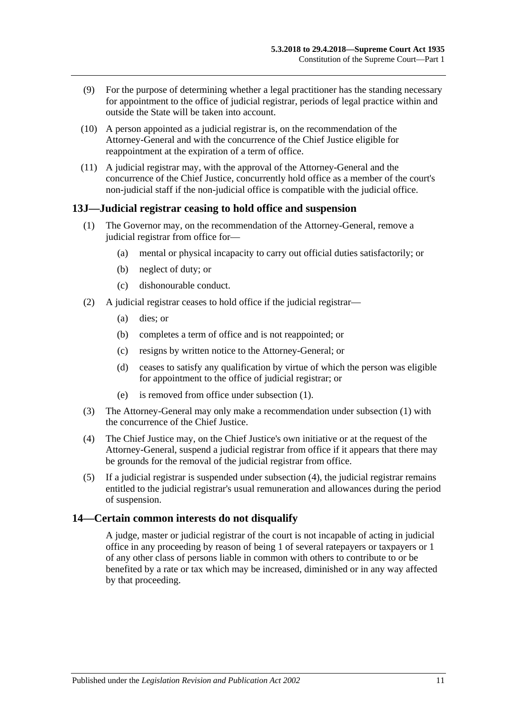- (9) For the purpose of determining whether a legal practitioner has the standing necessary for appointment to the office of judicial registrar, periods of legal practice within and outside the State will be taken into account.
- (10) A person appointed as a judicial registrar is, on the recommendation of the Attorney-General and with the concurrence of the Chief Justice eligible for reappointment at the expiration of a term of office.
- (11) A judicial registrar may, with the approval of the Attorney-General and the concurrence of the Chief Justice, concurrently hold office as a member of the court's non-judicial staff if the non-judicial office is compatible with the judicial office.

### <span id="page-10-2"></span><span id="page-10-0"></span>**13J—Judicial registrar ceasing to hold office and suspension**

- (1) The Governor may, on the recommendation of the Attorney-General, remove a judicial registrar from office for—
	- (a) mental or physical incapacity to carry out official duties satisfactorily; or
	- (b) neglect of duty; or
	- (c) dishonourable conduct.
- (2) A judicial registrar ceases to hold office if the judicial registrar—
	- (a) dies; or
	- (b) completes a term of office and is not reappointed; or
	- (c) resigns by written notice to the Attorney-General; or
	- (d) ceases to satisfy any qualification by virtue of which the person was eligible for appointment to the office of judicial registrar; or
	- (e) is removed from office under [subsection](#page-10-2) (1).
- (3) The Attorney-General may only make a recommendation under [subsection](#page-10-2) (1) with the concurrence of the Chief Justice.
- <span id="page-10-3"></span>(4) The Chief Justice may, on the Chief Justice's own initiative or at the request of the Attorney-General, suspend a judicial registrar from office if it appears that there may be grounds for the removal of the judicial registrar from office.
- (5) If a judicial registrar is suspended under [subsection](#page-10-3) (4), the judicial registrar remains entitled to the judicial registrar's usual remuneration and allowances during the period of suspension.

### <span id="page-10-1"></span>**14—Certain common interests do not disqualify**

A judge, master or judicial registrar of the court is not incapable of acting in judicial office in any proceeding by reason of being 1 of several ratepayers or taxpayers or 1 of any other class of persons liable in common with others to contribute to or be benefited by a rate or tax which may be increased, diminished or in any way affected by that proceeding.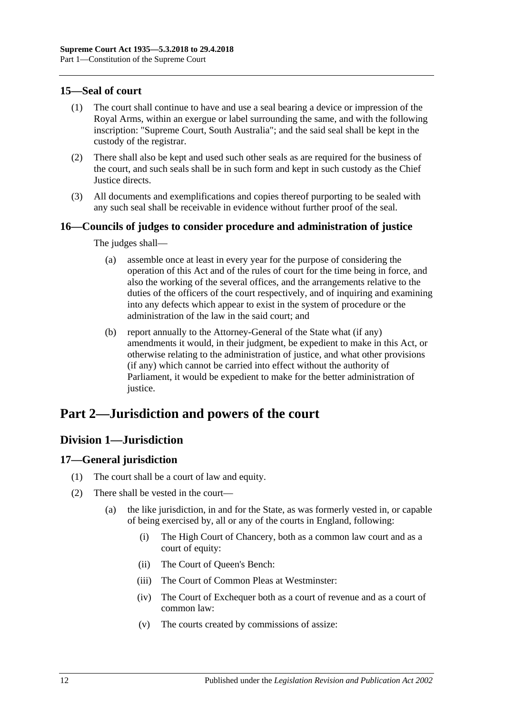# <span id="page-11-0"></span>**15—Seal of court**

- (1) The court shall continue to have and use a seal bearing a device or impression of the Royal Arms, within an exergue or label surrounding the same, and with the following inscription: "Supreme Court, South Australia"; and the said seal shall be kept in the custody of the registrar.
- (2) There shall also be kept and used such other seals as are required for the business of the court, and such seals shall be in such form and kept in such custody as the Chief Justice directs.
- (3) All documents and exemplifications and copies thereof purporting to be sealed with any such seal shall be receivable in evidence without further proof of the seal.

# <span id="page-11-1"></span>**16—Councils of judges to consider procedure and administration of justice**

The judges shall—

- (a) assemble once at least in every year for the purpose of considering the operation of this Act and of the rules of court for the time being in force, and also the working of the several offices, and the arrangements relative to the duties of the officers of the court respectively, and of inquiring and examining into any defects which appear to exist in the system of procedure or the administration of the law in the said court; and
- (b) report annually to the Attorney-General of the State what (if any) amendments it would, in their judgment, be expedient to make in this Act, or otherwise relating to the administration of justice, and what other provisions (if any) which cannot be carried into effect without the authority of Parliament, it would be expedient to make for the better administration of justice.

# <span id="page-11-3"></span><span id="page-11-2"></span>**Part 2—Jurisdiction and powers of the court**

# **Division 1—Jurisdiction**

# <span id="page-11-4"></span>**17—General jurisdiction**

- (1) The court shall be a court of law and equity.
- (2) There shall be vested in the court—
	- (a) the like jurisdiction, in and for the State, as was formerly vested in, or capable of being exercised by, all or any of the courts in England, following:
		- (i) The High Court of Chancery, both as a common law court and as a court of equity:
		- (ii) The Court of Queen's Bench:
		- (iii) The Court of Common Pleas at Westminster:
		- (iv) The Court of Exchequer both as a court of revenue and as a court of common law:
		- (v) The courts created by commissions of assize: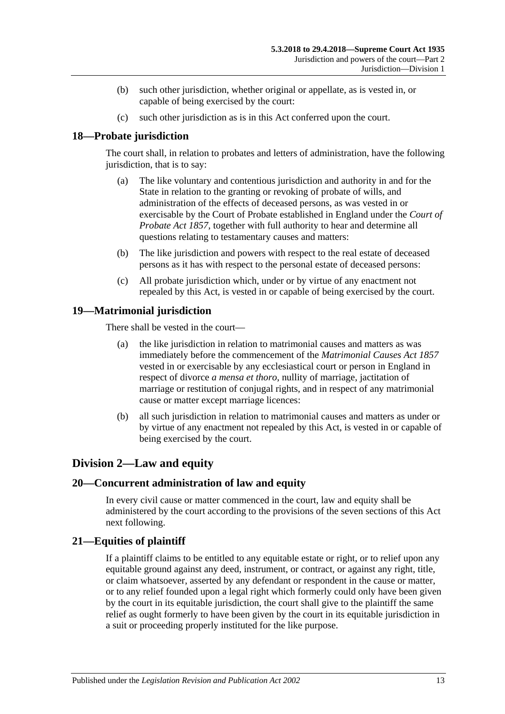- (b) such other jurisdiction, whether original or appellate, as is vested in, or capable of being exercised by the court:
- (c) such other jurisdiction as is in this Act conferred upon the court.

# <span id="page-12-0"></span>**18—Probate jurisdiction**

The court shall, in relation to probates and letters of administration, have the following jurisdiction, that is to say:

- (a) The like voluntary and contentious jurisdiction and authority in and for the State in relation to the granting or revoking of probate of wills, and administration of the effects of deceased persons, as was vested in or exercisable by the Court of Probate established in England under the *[Court of](http://www.legislation.sa.gov.au/index.aspx?action=legref&type=act&legtitle=Court%20of%20Probate%20Act%201857)  [Probate Act](http://www.legislation.sa.gov.au/index.aspx?action=legref&type=act&legtitle=Court%20of%20Probate%20Act%201857) 1857*, together with full authority to hear and determine all questions relating to testamentary causes and matters:
- (b) The like jurisdiction and powers with respect to the real estate of deceased persons as it has with respect to the personal estate of deceased persons:
- (c) All probate jurisdiction which, under or by virtue of any enactment not repealed by this Act, is vested in or capable of being exercised by the court.

# <span id="page-12-1"></span>**19—Matrimonial jurisdiction**

There shall be vested in the court—

- (a) the like jurisdiction in relation to matrimonial causes and matters as was immediately before the commencement of the *[Matrimonial Causes Act](http://www.legislation.sa.gov.au/index.aspx?action=legref&type=act&legtitle=Matrimonial%20Causes%20Act%201857) 1857* vested in or exercisable by any ecclesiastical court or person in England in respect of divorce *a mensa et thoro*, nullity of marriage, jactitation of marriage or restitution of conjugal rights, and in respect of any matrimonial cause or matter except marriage licences:
- (b) all such jurisdiction in relation to matrimonial causes and matters as under or by virtue of any enactment not repealed by this Act, is vested in or capable of being exercised by the court.

# <span id="page-12-2"></span>**Division 2—Law and equity**

# <span id="page-12-3"></span>**20—Concurrent administration of law and equity**

In every civil cause or matter commenced in the court, law and equity shall be administered by the court according to the provisions of the seven sections of this Act next following.

# <span id="page-12-4"></span>**21—Equities of plaintiff**

If a plaintiff claims to be entitled to any equitable estate or right, or to relief upon any equitable ground against any deed, instrument, or contract, or against any right, title, or claim whatsoever, asserted by any defendant or respondent in the cause or matter, or to any relief founded upon a legal right which formerly could only have been given by the court in its equitable jurisdiction, the court shall give to the plaintiff the same relief as ought formerly to have been given by the court in its equitable jurisdiction in a suit or proceeding properly instituted for the like purpose.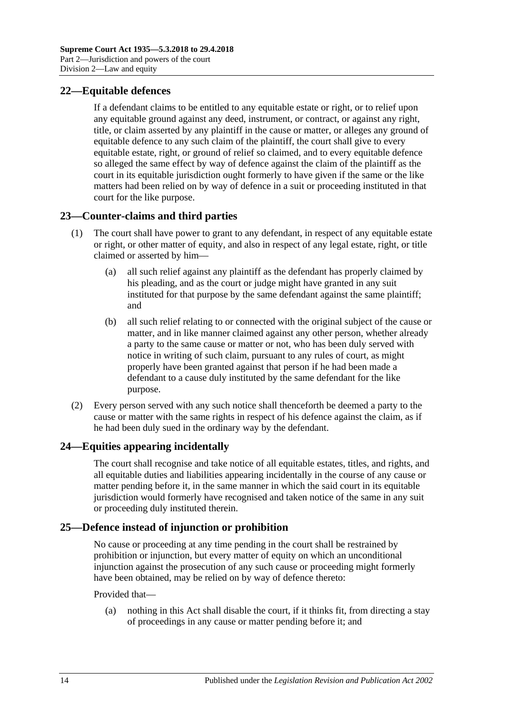# <span id="page-13-0"></span>**22—Equitable defences**

If a defendant claims to be entitled to any equitable estate or right, or to relief upon any equitable ground against any deed, instrument, or contract, or against any right, title, or claim asserted by any plaintiff in the cause or matter, or alleges any ground of equitable defence to any such claim of the plaintiff, the court shall give to every equitable estate, right, or ground of relief so claimed, and to every equitable defence so alleged the same effect by way of defence against the claim of the plaintiff as the court in its equitable jurisdiction ought formerly to have given if the same or the like matters had been relied on by way of defence in a suit or proceeding instituted in that court for the like purpose.

# <span id="page-13-1"></span>**23—Counter-claims and third parties**

- (1) The court shall have power to grant to any defendant, in respect of any equitable estate or right, or other matter of equity, and also in respect of any legal estate, right, or title claimed or asserted by him—
	- (a) all such relief against any plaintiff as the defendant has properly claimed by his pleading, and as the court or judge might have granted in any suit instituted for that purpose by the same defendant against the same plaintiff; and
	- (b) all such relief relating to or connected with the original subject of the cause or matter, and in like manner claimed against any other person, whether already a party to the same cause or matter or not, who has been duly served with notice in writing of such claim, pursuant to any rules of court, as might properly have been granted against that person if he had been made a defendant to a cause duly instituted by the same defendant for the like purpose.
- (2) Every person served with any such notice shall thenceforth be deemed a party to the cause or matter with the same rights in respect of his defence against the claim, as if he had been duly sued in the ordinary way by the defendant.

# <span id="page-13-2"></span>**24—Equities appearing incidentally**

The court shall recognise and take notice of all equitable estates, titles, and rights, and all equitable duties and liabilities appearing incidentally in the course of any cause or matter pending before it, in the same manner in which the said court in its equitable jurisdiction would formerly have recognised and taken notice of the same in any suit or proceeding duly instituted therein.

# <span id="page-13-3"></span>**25—Defence instead of injunction or prohibition**

No cause or proceeding at any time pending in the court shall be restrained by prohibition or injunction, but every matter of equity on which an unconditional injunction against the prosecution of any such cause or proceeding might formerly have been obtained, may be relied on by way of defence thereto:

### Provided that—

(a) nothing in this Act shall disable the court, if it thinks fit, from directing a stay of proceedings in any cause or matter pending before it; and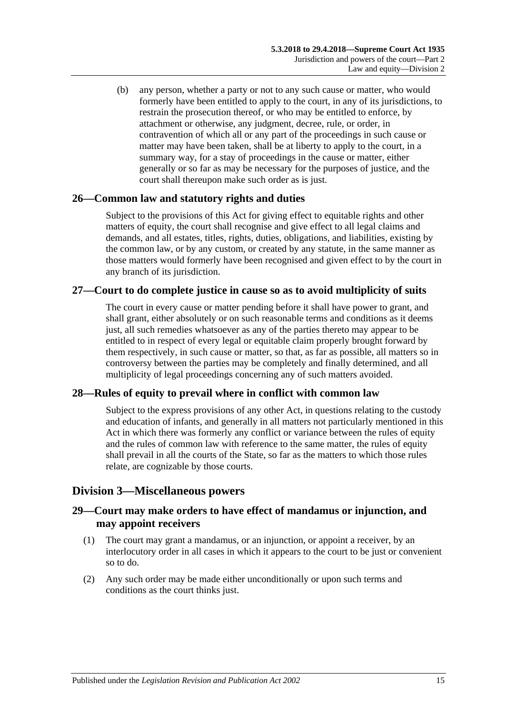(b) any person, whether a party or not to any such cause or matter, who would formerly have been entitled to apply to the court, in any of its jurisdictions, to restrain the prosecution thereof, or who may be entitled to enforce, by attachment or otherwise, any judgment, decree, rule, or order, in contravention of which all or any part of the proceedings in such cause or matter may have been taken, shall be at liberty to apply to the court, in a summary way, for a stay of proceedings in the cause or matter, either generally or so far as may be necessary for the purposes of justice, and the court shall thereupon make such order as is just.

# <span id="page-14-0"></span>**26—Common law and statutory rights and duties**

Subject to the provisions of this Act for giving effect to equitable rights and other matters of equity, the court shall recognise and give effect to all legal claims and demands, and all estates, titles, rights, duties, obligations, and liabilities, existing by the common law, or by any custom, or created by any statute, in the same manner as those matters would formerly have been recognised and given effect to by the court in any branch of its jurisdiction.

# <span id="page-14-1"></span>**27—Court to do complete justice in cause so as to avoid multiplicity of suits**

The court in every cause or matter pending before it shall have power to grant, and shall grant, either absolutely or on such reasonable terms and conditions as it deems just, all such remedies whatsoever as any of the parties thereto may appear to be entitled to in respect of every legal or equitable claim properly brought forward by them respectively, in such cause or matter, so that, as far as possible, all matters so in controversy between the parties may be completely and finally determined, and all multiplicity of legal proceedings concerning any of such matters avoided.

# <span id="page-14-2"></span>**28—Rules of equity to prevail where in conflict with common law**

Subject to the express provisions of any other Act, in questions relating to the custody and education of infants, and generally in all matters not particularly mentioned in this Act in which there was formerly any conflict or variance between the rules of equity and the rules of common law with reference to the same matter, the rules of equity shall prevail in all the courts of the State, so far as the matters to which those rules relate, are cognizable by those courts.

# <span id="page-14-3"></span>**Division 3—Miscellaneous powers**

# <span id="page-14-4"></span>**29—Court may make orders to have effect of mandamus or injunction, and may appoint receivers**

- (1) The court may grant a mandamus, or an injunction, or appoint a receiver, by an interlocutory order in all cases in which it appears to the court to be just or convenient so to do.
- (2) Any such order may be made either unconditionally or upon such terms and conditions as the court thinks just.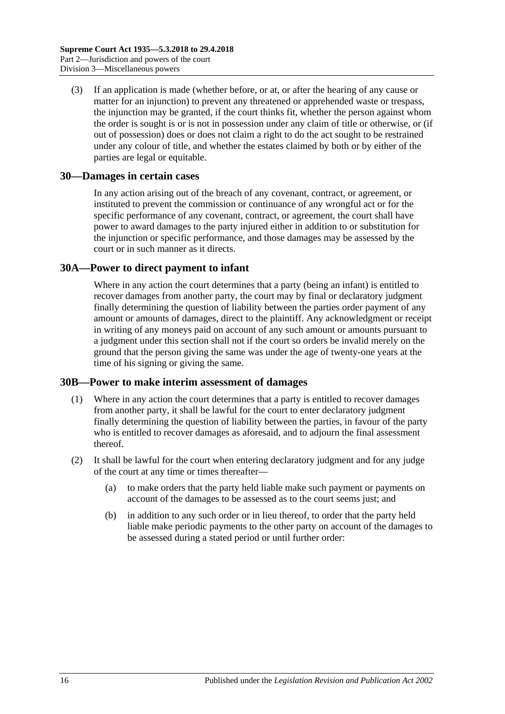(3) If an application is made (whether before, or at, or after the hearing of any cause or matter for an injunction) to prevent any threatened or apprehended waste or trespass, the injunction may be granted, if the court thinks fit, whether the person against whom the order is sought is or is not in possession under any claim of title or otherwise, or (if out of possession) does or does not claim a right to do the act sought to be restrained under any colour of title, and whether the estates claimed by both or by either of the parties are legal or equitable.

### <span id="page-15-0"></span>**30—Damages in certain cases**

In any action arising out of the breach of any covenant, contract, or agreement, or instituted to prevent the commission or continuance of any wrongful act or for the specific performance of any covenant, contract, or agreement, the court shall have power to award damages to the party injured either in addition to or substitution for the injunction or specific performance, and those damages may be assessed by the court or in such manner as it directs.

### <span id="page-15-1"></span>**30A—Power to direct payment to infant**

Where in any action the court determines that a party (being an infant) is entitled to recover damages from another party, the court may by final or declaratory judgment finally determining the question of liability between the parties order payment of any amount or amounts of damages, direct to the plaintiff. Any acknowledgment or receipt in writing of any moneys paid on account of any such amount or amounts pursuant to a judgment under this section shall not if the court so orders be invalid merely on the ground that the person giving the same was under the age of twenty-one years at the time of his signing or giving the same.

### <span id="page-15-2"></span>**30B—Power to make interim assessment of damages**

- (1) Where in any action the court determines that a party is entitled to recover damages from another party, it shall be lawful for the court to enter declaratory judgment finally determining the question of liability between the parties, in favour of the party who is entitled to recover damages as aforesaid, and to adjourn the final assessment thereof.
- <span id="page-15-3"></span>(2) It shall be lawful for the court when entering declaratory judgment and for any judge of the court at any time or times thereafter—
	- (a) to make orders that the party held liable make such payment or payments on account of the damages to be assessed as to the court seems just; and
	- (b) in addition to any such order or in lieu thereof, to order that the party held liable make periodic payments to the other party on account of the damages to be assessed during a stated period or until further order: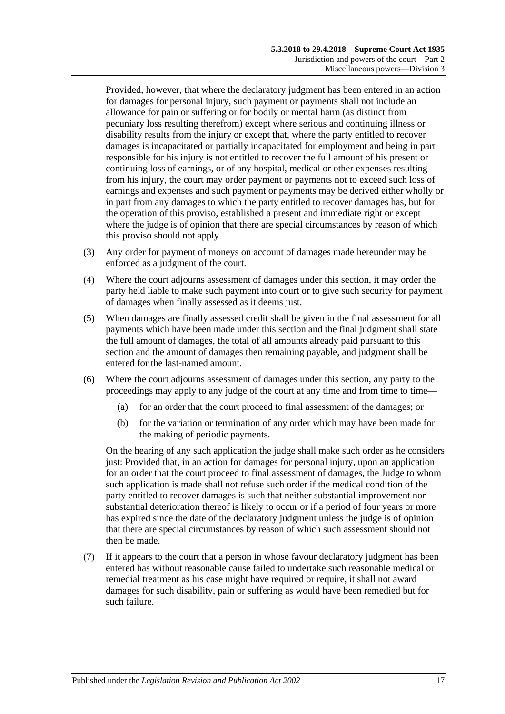Provided, however, that where the declaratory judgment has been entered in an action for damages for personal injury, such payment or payments shall not include an allowance for pain or suffering or for bodily or mental harm (as distinct from pecuniary loss resulting therefrom) except where serious and continuing illness or disability results from the injury or except that, where the party entitled to recover damages is incapacitated or partially incapacitated for employment and being in part responsible for his injury is not entitled to recover the full amount of his present or continuing loss of earnings, or of any hospital, medical or other expenses resulting from his injury, the court may order payment or payments not to exceed such loss of earnings and expenses and such payment or payments may be derived either wholly or in part from any damages to which the party entitled to recover damages has, but for the operation of this proviso, established a present and immediate right or except where the judge is of opinion that there are special circumstances by reason of which this proviso should not apply.

- (3) Any order for payment of moneys on account of damages made hereunder may be enforced as a judgment of the court.
- (4) Where the court adjourns assessment of damages under this section, it may order the party held liable to make such payment into court or to give such security for payment of damages when finally assessed as it deems just.
- (5) When damages are finally assessed credit shall be given in the final assessment for all payments which have been made under this section and the final judgment shall state the full amount of damages, the total of all amounts already paid pursuant to this section and the amount of damages then remaining payable, and judgment shall be entered for the last-named amount.
- (6) Where the court adjourns assessment of damages under this section, any party to the proceedings may apply to any judge of the court at any time and from time to time—
	- (a) for an order that the court proceed to final assessment of the damages; or
	- (b) for the variation or termination of any order which may have been made for the making of periodic payments.

On the hearing of any such application the judge shall make such order as he considers just: Provided that, in an action for damages for personal injury, upon an application for an order that the court proceed to final assessment of damages, the Judge to whom such application is made shall not refuse such order if the medical condition of the party entitled to recover damages is such that neither substantial improvement nor substantial deterioration thereof is likely to occur or if a period of four years or more has expired since the date of the declaratory judgment unless the judge is of opinion that there are special circumstances by reason of which such assessment should not then be made.

(7) If it appears to the court that a person in whose favour declaratory judgment has been entered has without reasonable cause failed to undertake such reasonable medical or remedial treatment as his case might have required or require, it shall not award damages for such disability, pain or suffering as would have been remedied but for such failure.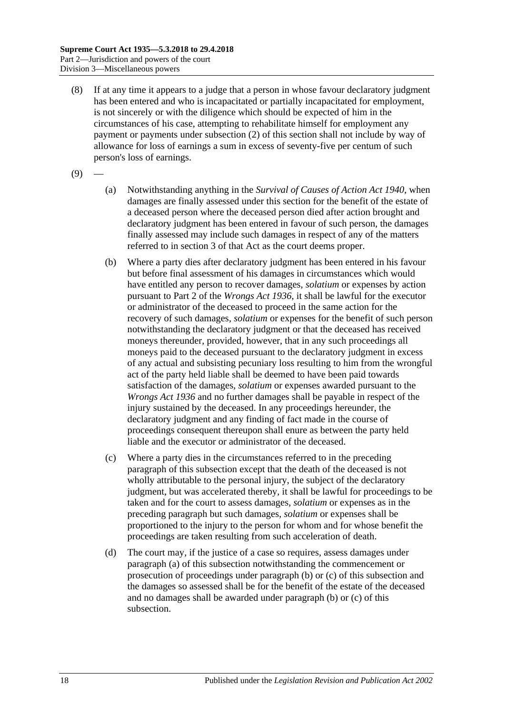- (8) If at any time it appears to a judge that a person in whose favour declaratory judgment has been entered and who is incapacitated or partially incapacitated for employment, is not sincerely or with the diligence which should be expected of him in the circumstances of his case, attempting to rehabilitate himself for employment any payment or payments under [subsection](#page-15-3) (2) of this section shall not include by way of allowance for loss of earnings a sum in excess of seventy-five per centum of such person's loss of earnings.
- <span id="page-17-0"></span> $(9)$
- (a) Notwithstanding anything in the *[Survival of Causes of Action Act](http://www.legislation.sa.gov.au/index.aspx?action=legref&type=act&legtitle=Survival%20of%20Causes%20of%20Action%20Act%201940) 1940*, when damages are finally assessed under this section for the benefit of the estate of a deceased person where the deceased person died after action brought and declaratory judgment has been entered in favour of such person, the damages finally assessed may include such damages in respect of any of the matters referred to in section 3 of that Act as the court deems proper.
- <span id="page-17-1"></span>(b) Where a party dies after declaratory judgment has been entered in his favour but before final assessment of his damages in circumstances which would have entitled any person to recover damages, *solatium* or expenses by action pursuant to Part 2 of the *[Wrongs Act](http://www.legislation.sa.gov.au/index.aspx?action=legref&type=act&legtitle=Wrongs%20Act%201936) 1936*, it shall be lawful for the executor or administrator of the deceased to proceed in the same action for the recovery of such damages, *solatium* or expenses for the benefit of such person notwithstanding the declaratory judgment or that the deceased has received moneys thereunder, provided, however, that in any such proceedings all moneys paid to the deceased pursuant to the declaratory judgment in excess of any actual and subsisting pecuniary loss resulting to him from the wrongful act of the party held liable shall be deemed to have been paid towards satisfaction of the damages, *solatium* or expenses awarded pursuant to the *[Wrongs Act](http://www.legislation.sa.gov.au/index.aspx?action=legref&type=act&legtitle=Wrongs%20Act%201936) 1936* and no further damages shall be payable in respect of the injury sustained by the deceased. In any proceedings hereunder, the declaratory judgment and any finding of fact made in the course of proceedings consequent thereupon shall enure as between the party held liable and the executor or administrator of the deceased.
- <span id="page-17-2"></span>(c) Where a party dies in the circumstances referred to in the preceding paragraph of this subsection except that the death of the deceased is not wholly attributable to the personal injury, the subject of the declaratory judgment, but was accelerated thereby, it shall be lawful for proceedings to be taken and for the court to assess damages, *solatium* or expenses as in the preceding paragraph but such damages, *solatium* or expenses shall be proportioned to the injury to the person for whom and for whose benefit the proceedings are taken resulting from such acceleration of death.
- (d) The court may, if the justice of a case so requires, assess damages under [paragraph](#page-17-0) (a) of this subsection notwithstanding the commencement or prosecution of proceedings under [paragraph](#page-17-1) (b) or [\(c\)](#page-17-2) of this subsection and the damages so assessed shall be for the benefit of the estate of the deceased and no damages shall be awarded under [paragraph](#page-17-1) (b) or [\(c\)](#page-17-2) of this subsection.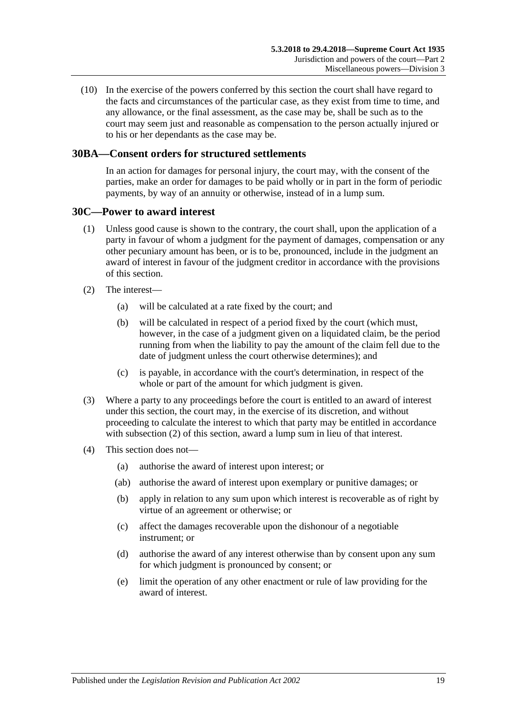(10) In the exercise of the powers conferred by this section the court shall have regard to the facts and circumstances of the particular case, as they exist from time to time, and any allowance, or the final assessment, as the case may be, shall be such as to the court may seem just and reasonable as compensation to the person actually injured or to his or her dependants as the case may be.

# <span id="page-18-0"></span>**30BA—Consent orders for structured settlements**

In an action for damages for personal injury, the court may, with the consent of the parties, make an order for damages to be paid wholly or in part in the form of periodic payments, by way of an annuity or otherwise, instead of in a lump sum.

### <span id="page-18-1"></span>**30C—Power to award interest**

- (1) Unless good cause is shown to the contrary, the court shall, upon the application of a party in favour of whom a judgment for the payment of damages, compensation or any other pecuniary amount has been, or is to be, pronounced, include in the judgment an award of interest in favour of the judgment creditor in accordance with the provisions of this section.
- <span id="page-18-2"></span>(2) The interest—
	- (a) will be calculated at a rate fixed by the court; and
	- (b) will be calculated in respect of a period fixed by the court (which must, however, in the case of a judgment given on a liquidated claim, be the period running from when the liability to pay the amount of the claim fell due to the date of judgment unless the court otherwise determines); and
	- (c) is payable, in accordance with the court's determination, in respect of the whole or part of the amount for which judgment is given.
- (3) Where a party to any proceedings before the court is entitled to an award of interest under this section, the court may, in the exercise of its discretion, and without proceeding to calculate the interest to which that party may be entitled in accordance with [subsection](#page-18-2) (2) of this section, award a lump sum in lieu of that interest.
- (4) This section does not—
	- (a) authorise the award of interest upon interest; or
	- (ab) authorise the award of interest upon exemplary or punitive damages; or
	- (b) apply in relation to any sum upon which interest is recoverable as of right by virtue of an agreement or otherwise; or
	- (c) affect the damages recoverable upon the dishonour of a negotiable instrument; or
	- (d) authorise the award of any interest otherwise than by consent upon any sum for which judgment is pronounced by consent; or
	- (e) limit the operation of any other enactment or rule of law providing for the award of interest.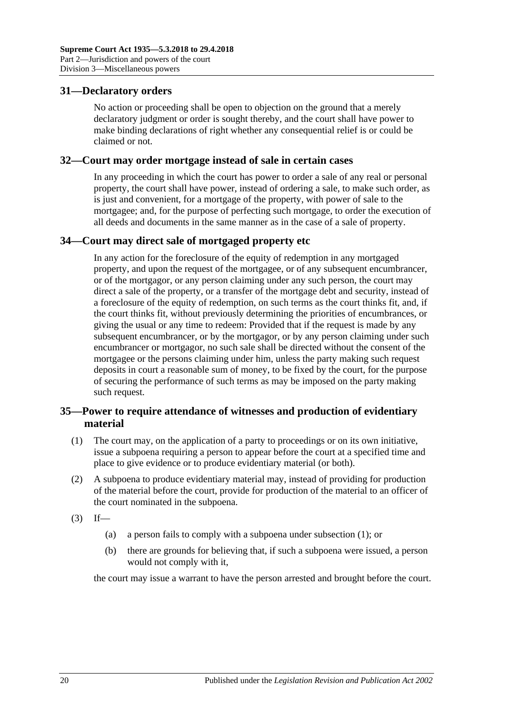# <span id="page-19-0"></span>**31—Declaratory orders**

No action or proceeding shall be open to objection on the ground that a merely declaratory judgment or order is sought thereby, and the court shall have power to make binding declarations of right whether any consequential relief is or could be claimed or not.

### <span id="page-19-1"></span>**32—Court may order mortgage instead of sale in certain cases**

In any proceeding in which the court has power to order a sale of any real or personal property, the court shall have power, instead of ordering a sale, to make such order, as is just and convenient, for a mortgage of the property, with power of sale to the mortgagee; and, for the purpose of perfecting such mortgage, to order the execution of all deeds and documents in the same manner as in the case of a sale of property.

# <span id="page-19-2"></span>**34—Court may direct sale of mortgaged property etc**

In any action for the foreclosure of the equity of redemption in any mortgaged property, and upon the request of the mortgagee, or of any subsequent encumbrancer, or of the mortgagor, or any person claiming under any such person, the court may direct a sale of the property, or a transfer of the mortgage debt and security, instead of a foreclosure of the equity of redemption, on such terms as the court thinks fit, and, if the court thinks fit, without previously determining the priorities of encumbrances, or giving the usual or any time to redeem: Provided that if the request is made by any subsequent encumbrancer, or by the mortgagor, or by any person claiming under such encumbrancer or mortgagor, no such sale shall be directed without the consent of the mortgagee or the persons claiming under him, unless the party making such request deposits in court a reasonable sum of money, to be fixed by the court, for the purpose of securing the performance of such terms as may be imposed on the party making such request.

# <span id="page-19-3"></span>**35—Power to require attendance of witnesses and production of evidentiary material**

- <span id="page-19-4"></span>(1) The court may, on the application of a party to proceedings or on its own initiative, issue a subpoena requiring a person to appear before the court at a specified time and place to give evidence or to produce evidentiary material (or both).
- (2) A subpoena to produce evidentiary material may, instead of providing for production of the material before the court, provide for production of the material to an officer of the court nominated in the subpoena.
- $(3)$  If—
	- (a) a person fails to comply with a subpoena under [subsection](#page-19-4) (1); or
	- (b) there are grounds for believing that, if such a subpoena were issued, a person would not comply with it,

the court may issue a warrant to have the person arrested and brought before the court.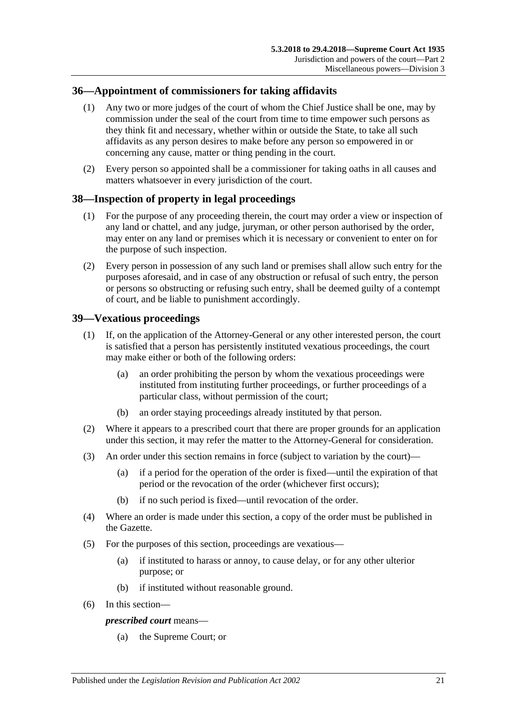# <span id="page-20-0"></span>**36—Appointment of commissioners for taking affidavits**

- (1) Any two or more judges of the court of whom the Chief Justice shall be one, may by commission under the seal of the court from time to time empower such persons as they think fit and necessary, whether within or outside the State, to take all such affidavits as any person desires to make before any person so empowered in or concerning any cause, matter or thing pending in the court.
- (2) Every person so appointed shall be a commissioner for taking oaths in all causes and matters whatsoever in every jurisdiction of the court.

# <span id="page-20-1"></span>**38—Inspection of property in legal proceedings**

- (1) For the purpose of any proceeding therein, the court may order a view or inspection of any land or chattel, and any judge, juryman, or other person authorised by the order, may enter on any land or premises which it is necessary or convenient to enter on for the purpose of such inspection.
- (2) Every person in possession of any such land or premises shall allow such entry for the purposes aforesaid, and in case of any obstruction or refusal of such entry, the person or persons so obstructing or refusing such entry, shall be deemed guilty of a contempt of court, and be liable to punishment accordingly.

# <span id="page-20-2"></span>**39—Vexatious proceedings**

- (1) If, on the application of the Attorney-General or any other interested person, the court is satisfied that a person has persistently instituted vexatious proceedings, the court may make either or both of the following orders:
	- (a) an order prohibiting the person by whom the vexatious proceedings were instituted from instituting further proceedings, or further proceedings of a particular class, without permission of the court;
	- (b) an order staying proceedings already instituted by that person.
- (2) Where it appears to a prescribed court that there are proper grounds for an application under this section, it may refer the matter to the Attorney-General for consideration.
- (3) An order under this section remains in force (subject to variation by the court)—
	- (a) if a period for the operation of the order is fixed—until the expiration of that period or the revocation of the order (whichever first occurs);
	- (b) if no such period is fixed—until revocation of the order.
- (4) Where an order is made under this section, a copy of the order must be published in the Gazette.
- (5) For the purposes of this section, proceedings are vexatious—
	- (a) if instituted to harass or annoy, to cause delay, or for any other ulterior purpose; or
	- (b) if instituted without reasonable ground.
- (6) In this section—

### *prescribed court* means—

(a) the Supreme Court; or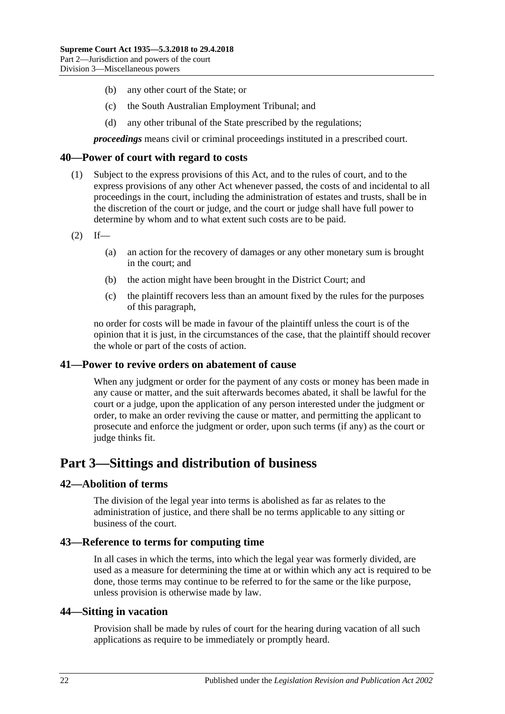- (b) any other court of the State; or
- (c) the South Australian Employment Tribunal; and
- (d) any other tribunal of the State prescribed by the regulations;

*proceedings* means civil or criminal proceedings instituted in a prescribed court.

### <span id="page-21-0"></span>**40—Power of court with regard to costs**

- (1) Subject to the express provisions of this Act, and to the rules of court, and to the express provisions of any other Act whenever passed, the costs of and incidental to all proceedings in the court, including the administration of estates and trusts, shall be in the discretion of the court or judge, and the court or judge shall have full power to determine by whom and to what extent such costs are to be paid.
- $(2)$  If—
	- (a) an action for the recovery of damages or any other monetary sum is brought in the court; and
	- (b) the action might have been brought in the District Court; and
	- (c) the plaintiff recovers less than an amount fixed by the rules for the purposes of this paragraph,

no order for costs will be made in favour of the plaintiff unless the court is of the opinion that it is just, in the circumstances of the case, that the plaintiff should recover the whole or part of the costs of action.

### <span id="page-21-1"></span>**41—Power to revive orders on abatement of cause**

When any judgment or order for the payment of any costs or money has been made in any cause or matter, and the suit afterwards becomes abated, it shall be lawful for the court or a judge, upon the application of any person interested under the judgment or order, to make an order reviving the cause or matter, and permitting the applicant to prosecute and enforce the judgment or order, upon such terms (if any) as the court or judge thinks fit.

# <span id="page-21-2"></span>**Part 3—Sittings and distribution of business**

### <span id="page-21-3"></span>**42—Abolition of terms**

The division of the legal year into terms is abolished as far as relates to the administration of justice, and there shall be no terms applicable to any sitting or business of the court.

### <span id="page-21-4"></span>**43—Reference to terms for computing time**

In all cases in which the terms, into which the legal year was formerly divided, are used as a measure for determining the time at or within which any act is required to be done, those terms may continue to be referred to for the same or the like purpose, unless provision is otherwise made by law.

### <span id="page-21-5"></span>**44—Sitting in vacation**

Provision shall be made by rules of court for the hearing during vacation of all such applications as require to be immediately or promptly heard.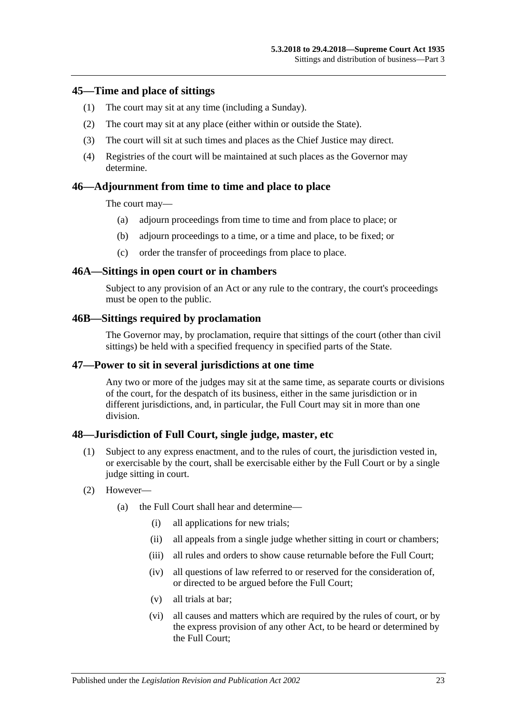### <span id="page-22-0"></span>**45—Time and place of sittings**

- (1) The court may sit at any time (including a Sunday).
- (2) The court may sit at any place (either within or outside the State).
- (3) The court will sit at such times and places as the Chief Justice may direct.
- (4) Registries of the court will be maintained at such places as the Governor may determine.

### <span id="page-22-1"></span>**46—Adjournment from time to time and place to place**

The court may—

- (a) adjourn proceedings from time to time and from place to place; or
- (b) adjourn proceedings to a time, or a time and place, to be fixed; or
- (c) order the transfer of proceedings from place to place.

### <span id="page-22-2"></span>**46A—Sittings in open court or in chambers**

Subject to any provision of an Act or any rule to the contrary, the court's proceedings must be open to the public.

### <span id="page-22-3"></span>**46B—Sittings required by proclamation**

The Governor may, by proclamation, require that sittings of the court (other than civil sittings) be held with a specified frequency in specified parts of the State.

### <span id="page-22-4"></span>**47—Power to sit in several jurisdictions at one time**

Any two or more of the judges may sit at the same time, as separate courts or divisions of the court, for the despatch of its business, either in the same jurisdiction or in different jurisdictions, and, in particular, the Full Court may sit in more than one division.

### <span id="page-22-5"></span>**48—Jurisdiction of Full Court, single judge, master, etc**

- (1) Subject to any express enactment, and to the rules of court, the jurisdiction vested in, or exercisable by the court, shall be exercisable either by the Full Court or by a single judge sitting in court.
- (2) However—
	- (a) the Full Court shall hear and determine—
		- (i) all applications for new trials;
		- (ii) all appeals from a single judge whether sitting in court or chambers;
		- (iii) all rules and orders to show cause returnable before the Full Court:
		- (iv) all questions of law referred to or reserved for the consideration of, or directed to be argued before the Full Court;
		- (v) all trials at bar;
		- (vi) all causes and matters which are required by the rules of court, or by the express provision of any other Act, to be heard or determined by the Full Court;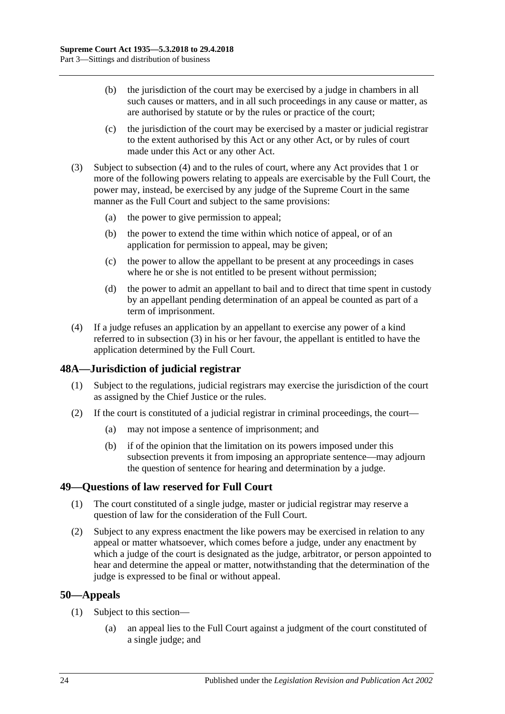- (b) the jurisdiction of the court may be exercised by a judge in chambers in all such causes or matters, and in all such proceedings in any cause or matter, as are authorised by statute or by the rules or practice of the court;
- (c) the jurisdiction of the court may be exercised by a master or judicial registrar to the extent authorised by this Act or any other Act, or by rules of court made under this Act or any other Act.
- <span id="page-23-4"></span>(3) Subject to [subsection](#page-23-3) (4) and to the rules of court, where any Act provides that 1 or more of the following powers relating to appeals are exercisable by the Full Court, the power may, instead, be exercised by any judge of the Supreme Court in the same manner as the Full Court and subject to the same provisions:
	- (a) the power to give permission to appeal;
	- (b) the power to extend the time within which notice of appeal, or of an application for permission to appeal, may be given;
	- (c) the power to allow the appellant to be present at any proceedings in cases where he or she is not entitled to be present without permission;
	- (d) the power to admit an appellant to bail and to direct that time spent in custody by an appellant pending determination of an appeal be counted as part of a term of imprisonment.
- <span id="page-23-3"></span>(4) If a judge refuses an application by an appellant to exercise any power of a kind referred to in [subsection](#page-23-4) (3) in his or her favour, the appellant is entitled to have the application determined by the Full Court.

# <span id="page-23-0"></span>**48A—Jurisdiction of judicial registrar**

- (1) Subject to the regulations, judicial registrars may exercise the jurisdiction of the court as assigned by the Chief Justice or the rules.
- (2) If the court is constituted of a judicial registrar in criminal proceedings, the court—
	- (a) may not impose a sentence of imprisonment; and
	- (b) if of the opinion that the limitation on its powers imposed under this subsection prevents it from imposing an appropriate sentence—may adjourn the question of sentence for hearing and determination by a judge.

# <span id="page-23-1"></span>**49—Questions of law reserved for Full Court**

- (1) The court constituted of a single judge, master or judicial registrar may reserve a question of law for the consideration of the Full Court.
- (2) Subject to any express enactment the like powers may be exercised in relation to any appeal or matter whatsoever, which comes before a judge, under any enactment by which a judge of the court is designated as the judge, arbitrator, or person appointed to hear and determine the appeal or matter, notwithstanding that the determination of the judge is expressed to be final or without appeal.

# <span id="page-23-2"></span>**50—Appeals**

- (1) Subject to this section—
	- (a) an appeal lies to the Full Court against a judgment of the court constituted of a single judge; and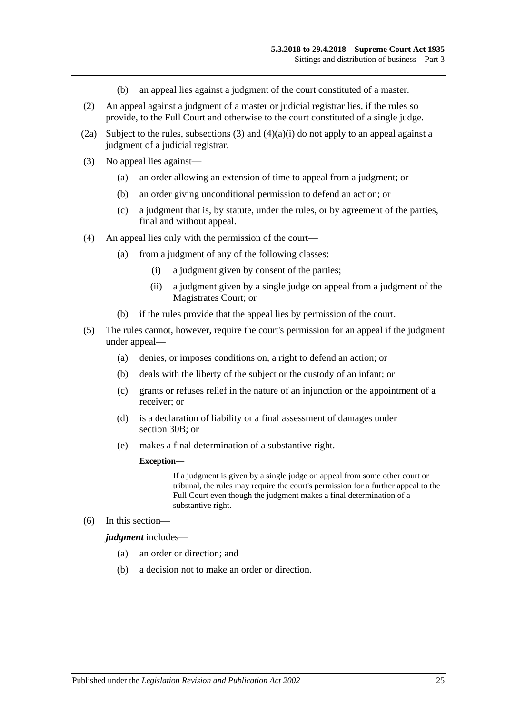- (b) an appeal lies against a judgment of the court constituted of a master.
- (2) An appeal against a judgment of a master or judicial registrar lies, if the rules so provide, to the Full Court and otherwise to the court constituted of a single judge.
- (2a) Subject to the rules, [subsections](#page-24-0) (3) and  $(4)(a)(i)$  do not apply to an appeal against a judgment of a judicial registrar.
- <span id="page-24-0"></span>(3) No appeal lies against—
	- (a) an order allowing an extension of time to appeal from a judgment; or
	- (b) an order giving unconditional permission to defend an action; or
	- (c) a judgment that is, by statute, under the rules, or by agreement of the parties, final and without appeal.
- <span id="page-24-1"></span>(4) An appeal lies only with the permission of the court—
	- (a) from a judgment of any of the following classes:
		- (i) a judgment given by consent of the parties;
		- (ii) a judgment given by a single judge on appeal from a judgment of the Magistrates Court; or
	- (b) if the rules provide that the appeal lies by permission of the court.
- (5) The rules cannot, however, require the court's permission for an appeal if the judgment under appeal—
	- (a) denies, or imposes conditions on, a right to defend an action; or
	- (b) deals with the liberty of the subject or the custody of an infant; or
	- (c) grants or refuses relief in the nature of an injunction or the appointment of a receiver; or
	- (d) is a declaration of liability or a final assessment of damages under [section](#page-15-2) 30B; or
	- (e) makes a final determination of a substantive right.

#### **Exception—**

If a judgment is given by a single judge on appeal from some other court or tribunal, the rules may require the court's permission for a further appeal to the Full Court even though the judgment makes a final determination of a substantive right.

(6) In this section—

*judgment* includes—

- (a) an order or direction; and
- (b) a decision not to make an order or direction.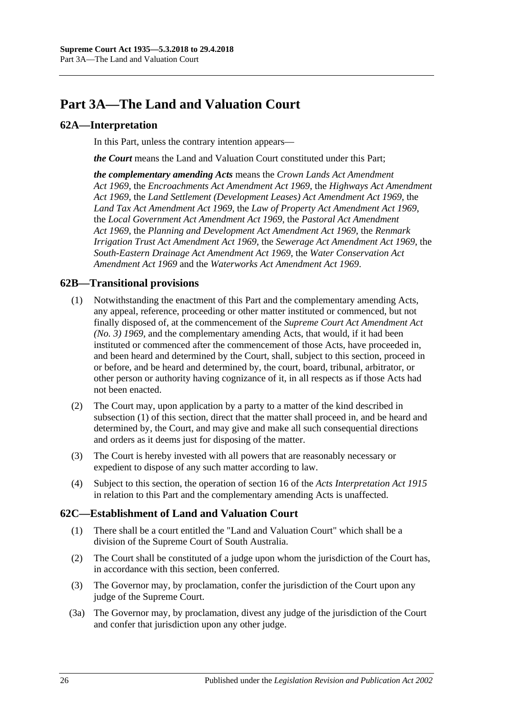# <span id="page-25-0"></span>**Part 3A—The Land and Valuation Court**

# <span id="page-25-1"></span>**62A—Interpretation**

In this Part, unless the contrary intention appears—

*the Court* means the Land and Valuation Court constituted under this Part;

*the complementary amending Acts* means the *[Crown Lands Act Amendment](http://www.legislation.sa.gov.au/index.aspx?action=legref&type=act&legtitle=Crown%20Lands%20Act%20Amendment%20Act%201969)  Act [1969](http://www.legislation.sa.gov.au/index.aspx?action=legref&type=act&legtitle=Crown%20Lands%20Act%20Amendment%20Act%201969)*, the *[Encroachments Act Amendment Act](http://www.legislation.sa.gov.au/index.aspx?action=legref&type=act&legtitle=Encroachments%20Act%20Amendment%20Act%201969) 1969*, the *[Highways Act Amendment](http://www.legislation.sa.gov.au/index.aspx?action=legref&type=act&legtitle=Highways%20Act%20Amendment%20Act%201969)  Act [1969](http://www.legislation.sa.gov.au/index.aspx?action=legref&type=act&legtitle=Highways%20Act%20Amendment%20Act%201969)*, the *[Land Settlement \(Development Leases\) Act Amendment Act](http://www.legislation.sa.gov.au/index.aspx?action=legref&type=act&legtitle=Land%20Settlement%20(Development%20Leases)%20Act%20Amendment%20Act%201969) 1969*, the *[Land Tax Act Amendment Act](http://www.legislation.sa.gov.au/index.aspx?action=legref&type=act&legtitle=Land%20Tax%20Act%20Amendment%20Act%201969) 1969*, the *[Law of Property Act Amendment Act](http://www.legislation.sa.gov.au/index.aspx?action=legref&type=act&legtitle=Law%20of%20Property%20Act%20Amendment%20Act%201969) 1969*, the *[Local Government Act Amendment Act](http://www.legislation.sa.gov.au/index.aspx?action=legref&type=act&legtitle=Local%20Government%20Act%20Amendment%20Act%201969) 1969*, the *[Pastoral Act Amendment](http://www.legislation.sa.gov.au/index.aspx?action=legref&type=act&legtitle=Pastoral%20Act%20Amendment%20Act%201969)  Act [1969](http://www.legislation.sa.gov.au/index.aspx?action=legref&type=act&legtitle=Pastoral%20Act%20Amendment%20Act%201969)*, the *[Planning and Development Act Amendment Act](http://www.legislation.sa.gov.au/index.aspx?action=legref&type=act&legtitle=Planning%20and%20Development%20Act%20Amendment%20Act%201969) 1969*, the *[Renmark](http://www.legislation.sa.gov.au/index.aspx?action=legref&type=act&legtitle=Renmark%20Irrigation%20Trust%20Act%20Amendment%20Act%201969)  [Irrigation Trust Act Amendment Act](http://www.legislation.sa.gov.au/index.aspx?action=legref&type=act&legtitle=Renmark%20Irrigation%20Trust%20Act%20Amendment%20Act%201969) 1969*, the *[Sewerage Act Amendment Act](http://www.legislation.sa.gov.au/index.aspx?action=legref&type=act&legtitle=Sewerage%20Act%20Amendment%20Act%201969) 1969*, the *[South-Eastern Drainage Act Amendment Act](http://www.legislation.sa.gov.au/index.aspx?action=legref&type=act&legtitle=South-Eastern%20Drainage%20Act%20Amendment%20Act%201969) 1969*, the *[Water Conservation Act](http://www.legislation.sa.gov.au/index.aspx?action=legref&type=act&legtitle=Water%20Conservation%20Act%20Amendment%20Act%201969)  [Amendment Act](http://www.legislation.sa.gov.au/index.aspx?action=legref&type=act&legtitle=Water%20Conservation%20Act%20Amendment%20Act%201969) 1969* and the *[Waterworks Act Amendment Act](http://www.legislation.sa.gov.au/index.aspx?action=legref&type=act&legtitle=Waterworks%20Act%20Amendment%20Act%201969) 1969*.

# <span id="page-25-4"></span><span id="page-25-2"></span>**62B—Transitional provisions**

- (1) Notwithstanding the enactment of this Part and the complementary amending Acts, any appeal, reference, proceeding or other matter instituted or commenced, but not finally disposed of, at the commencement of the *[Supreme Court Act Amendment Act](http://www.legislation.sa.gov.au/index.aspx?action=legref&type=act&legtitle=Supreme%20Court%20Act%20Amendment%20Act%20(No.%203)%201969)  [\(No. 3\)](http://www.legislation.sa.gov.au/index.aspx?action=legref&type=act&legtitle=Supreme%20Court%20Act%20Amendment%20Act%20(No.%203)%201969) 1969*, and the complementary amending Acts, that would, if it had been instituted or commenced after the commencement of those Acts, have proceeded in, and been heard and determined by the Court, shall, subject to this section, proceed in or before, and be heard and determined by, the court, board, tribunal, arbitrator, or other person or authority having cognizance of it, in all respects as if those Acts had not been enacted.
- (2) The Court may, upon application by a party to a matter of the kind described in [subsection](#page-25-4) (1) of this section, direct that the matter shall proceed in, and be heard and determined by, the Court, and may give and make all such consequential directions and orders as it deems just for disposing of the matter.
- (3) The Court is hereby invested with all powers that are reasonably necessary or expedient to dispose of any such matter according to law.
- (4) Subject to this section, the operation of section 16 of the *[Acts Interpretation Act](http://www.legislation.sa.gov.au/index.aspx?action=legref&type=act&legtitle=Acts%20Interpretation%20Act%201915) 1915* in relation to this Part and the complementary amending Acts is unaffected.

# <span id="page-25-3"></span>**62C—Establishment of Land and Valuation Court**

- (1) There shall be a court entitled the "Land and Valuation Court" which shall be a division of the Supreme Court of South Australia.
- (2) The Court shall be constituted of a judge upon whom the jurisdiction of the Court has, in accordance with this section, been conferred.
- (3) The Governor may, by proclamation, confer the jurisdiction of the Court upon any judge of the Supreme Court.
- (3a) The Governor may, by proclamation, divest any judge of the jurisdiction of the Court and confer that jurisdiction upon any other judge.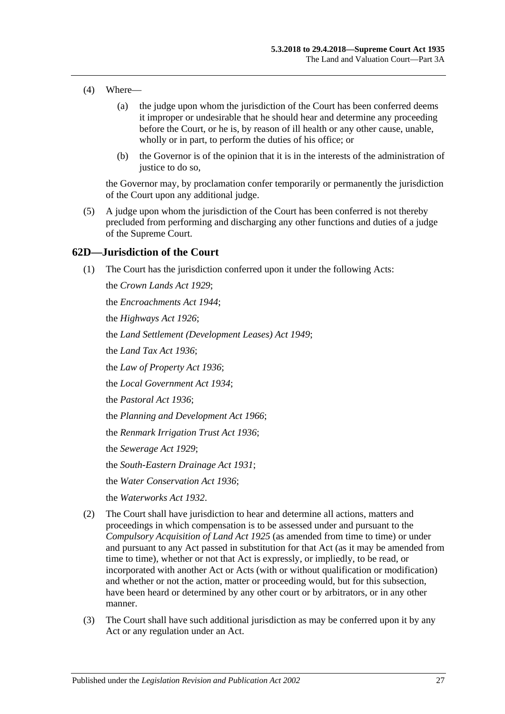- (4) Where—
	- (a) the judge upon whom the jurisdiction of the Court has been conferred deems it improper or undesirable that he should hear and determine any proceeding before the Court, or he is, by reason of ill health or any other cause, unable, wholly or in part, to perform the duties of his office; or
	- (b) the Governor is of the opinion that it is in the interests of the administration of justice to do so,

the Governor may, by proclamation confer temporarily or permanently the jurisdiction of the Court upon any additional judge.

(5) A judge upon whom the jurisdiction of the Court has been conferred is not thereby precluded from performing and discharging any other functions and duties of a judge of the Supreme Court.

### <span id="page-26-0"></span>**62D—Jurisdiction of the Court**

(1) The Court has the jurisdiction conferred upon it under the following Acts:

the *[Crown Lands Act](http://www.legislation.sa.gov.au/index.aspx?action=legref&type=act&legtitle=Crown%20Lands%20Act%201929) 1929*; the *[Encroachments Act](http://www.legislation.sa.gov.au/index.aspx?action=legref&type=act&legtitle=Encroachments%20Act%201944) 1944*; the *[Highways Act](http://www.legislation.sa.gov.au/index.aspx?action=legref&type=act&legtitle=Highways%20Act%201926) 1926*; the *[Land Settlement \(Development Leases\) Act](http://www.legislation.sa.gov.au/index.aspx?action=legref&type=act&legtitle=Land%20Settlement%20(Development%20Leases)%20Act%201949) 1949*; the *[Land Tax Act](http://www.legislation.sa.gov.au/index.aspx?action=legref&type=act&legtitle=Land%20Tax%20Act%201936) 1936*; the *[Law of Property Act](http://www.legislation.sa.gov.au/index.aspx?action=legref&type=act&legtitle=Law%20of%20Property%20Act%201936) 1936*; the *[Local Government Act](http://www.legislation.sa.gov.au/index.aspx?action=legref&type=act&legtitle=Local%20Government%20Act%201934) 1934*; the *[Pastoral Act](http://www.legislation.sa.gov.au/index.aspx?action=legref&type=act&legtitle=Pastoral%20Act%201936) 1936*; the *[Planning and Development Act](http://www.legislation.sa.gov.au/index.aspx?action=legref&type=act&legtitle=Planning%20and%20Development%20Act%201966) 1966*; the *[Renmark Irrigation Trust Act](http://www.legislation.sa.gov.au/index.aspx?action=legref&type=act&legtitle=Renmark%20Irrigation%20Trust%20Act%201936) 1936*; the *[Sewerage Act](http://www.legislation.sa.gov.au/index.aspx?action=legref&type=act&legtitle=Sewerage%20Act%201929) 1929*; the *[South-Eastern Drainage Act](http://www.legislation.sa.gov.au/index.aspx?action=legref&type=act&legtitle=South-Eastern%20Drainage%20Act%201931) 1931*; the *[Water Conservation Act](http://www.legislation.sa.gov.au/index.aspx?action=legref&type=act&legtitle=Water%20Conservation%20Act%201936) 1936*; the *[Waterworks Act](http://www.legislation.sa.gov.au/index.aspx?action=legref&type=act&legtitle=Waterworks%20Act%201932) 1932*.

- (2) The Court shall have jurisdiction to hear and determine all actions, matters and proceedings in which compensation is to be assessed under and pursuant to the *[Compulsory Acquisition of Land Act](http://www.legislation.sa.gov.au/index.aspx?action=legref&type=act&legtitle=Compulsory%20Acquisition%20of%20Land%20Act%201925) 1925* (as amended from time to time) or under and pursuant to any Act passed in substitution for that Act (as it may be amended from time to time), whether or not that Act is expressly, or impliedly, to be read, or incorporated with another Act or Acts (with or without qualification or modification) and whether or not the action, matter or proceeding would, but for this subsection, have been heard or determined by any other court or by arbitrators, or in any other manner.
- (3) The Court shall have such additional jurisdiction as may be conferred upon it by any Act or any regulation under an Act.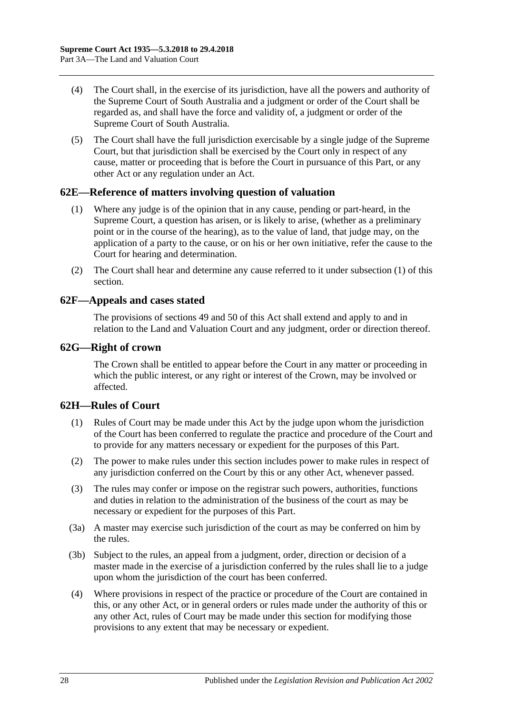- (4) The Court shall, in the exercise of its jurisdiction, have all the powers and authority of the Supreme Court of South Australia and a judgment or order of the Court shall be regarded as, and shall have the force and validity of, a judgment or order of the Supreme Court of South Australia.
- (5) The Court shall have the full jurisdiction exercisable by a single judge of the Supreme Court, but that jurisdiction shall be exercised by the Court only in respect of any cause, matter or proceeding that is before the Court in pursuance of this Part, or any other Act or any regulation under an Act.

# <span id="page-27-4"></span><span id="page-27-0"></span>**62E—Reference of matters involving question of valuation**

- (1) Where any judge is of the opinion that in any cause, pending or part-heard, in the Supreme Court, a question has arisen, or is likely to arise, (whether as a preliminary point or in the course of the hearing), as to the value of land, that judge may, on the application of a party to the cause, or on his or her own initiative, refer the cause to the Court for hearing and determination.
- (2) The Court shall hear and determine any cause referred to it under [subsection](#page-27-4) (1) of this section.

### <span id="page-27-1"></span>**62F—Appeals and cases stated**

The provisions of [sections](#page-23-1) 49 and [50](#page-23-2) of this Act shall extend and apply to and in relation to the Land and Valuation Court and any judgment, order or direction thereof.

### <span id="page-27-2"></span>**62G—Right of crown**

The Crown shall be entitled to appear before the Court in any matter or proceeding in which the public interest, or any right or interest of the Crown, may be involved or affected.

# <span id="page-27-3"></span>**62H—Rules of Court**

- (1) Rules of Court may be made under this Act by the judge upon whom the jurisdiction of the Court has been conferred to regulate the practice and procedure of the Court and to provide for any matters necessary or expedient for the purposes of this Part.
- (2) The power to make rules under this section includes power to make rules in respect of any jurisdiction conferred on the Court by this or any other Act, whenever passed.
- (3) The rules may confer or impose on the registrar such powers, authorities, functions and duties in relation to the administration of the business of the court as may be necessary or expedient for the purposes of this Part.
- (3a) A master may exercise such jurisdiction of the court as may be conferred on him by the rules.
- (3b) Subject to the rules, an appeal from a judgment, order, direction or decision of a master made in the exercise of a jurisdiction conferred by the rules shall lie to a judge upon whom the jurisdiction of the court has been conferred.
- (4) Where provisions in respect of the practice or procedure of the Court are contained in this, or any other Act, or in general orders or rules made under the authority of this or any other Act, rules of Court may be made under this section for modifying those provisions to any extent that may be necessary or expedient.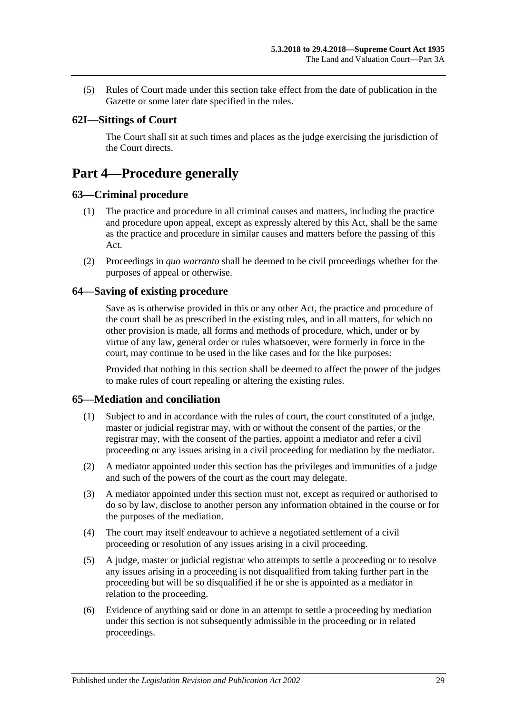(5) Rules of Court made under this section take effect from the date of publication in the Gazette or some later date specified in the rules.

# <span id="page-28-0"></span>**62I—Sittings of Court**

The Court shall sit at such times and places as the judge exercising the jurisdiction of the Court directs.

# <span id="page-28-1"></span>**Part 4—Procedure generally**

### <span id="page-28-2"></span>**63—Criminal procedure**

- (1) The practice and procedure in all criminal causes and matters, including the practice and procedure upon appeal, except as expressly altered by this Act, shall be the same as the practice and procedure in similar causes and matters before the passing of this Act.
- (2) Proceedings in *quo warranto* shall be deemed to be civil proceedings whether for the purposes of appeal or otherwise.

### <span id="page-28-3"></span>**64—Saving of existing procedure**

Save as is otherwise provided in this or any other Act, the practice and procedure of the court shall be as prescribed in the existing rules, and in all matters, for which no other provision is made, all forms and methods of procedure, which, under or by virtue of any law, general order or rules whatsoever, were formerly in force in the court, may continue to be used in the like cases and for the like purposes:

Provided that nothing in this section shall be deemed to affect the power of the judges to make rules of court repealing or altering the existing rules.

# <span id="page-28-4"></span>**65—Mediation and conciliation**

- (1) Subject to and in accordance with the rules of court, the court constituted of a judge, master or judicial registrar may, with or without the consent of the parties, or the registrar may, with the consent of the parties, appoint a mediator and refer a civil proceeding or any issues arising in a civil proceeding for mediation by the mediator.
- (2) A mediator appointed under this section has the privileges and immunities of a judge and such of the powers of the court as the court may delegate.
- (3) A mediator appointed under this section must not, except as required or authorised to do so by law, disclose to another person any information obtained in the course or for the purposes of the mediation.
- (4) The court may itself endeavour to achieve a negotiated settlement of a civil proceeding or resolution of any issues arising in a civil proceeding.
- (5) A judge, master or judicial registrar who attempts to settle a proceeding or to resolve any issues arising in a proceeding is not disqualified from taking further part in the proceeding but will be so disqualified if he or she is appointed as a mediator in relation to the proceeding.
- (6) Evidence of anything said or done in an attempt to settle a proceeding by mediation under this section is not subsequently admissible in the proceeding or in related proceedings.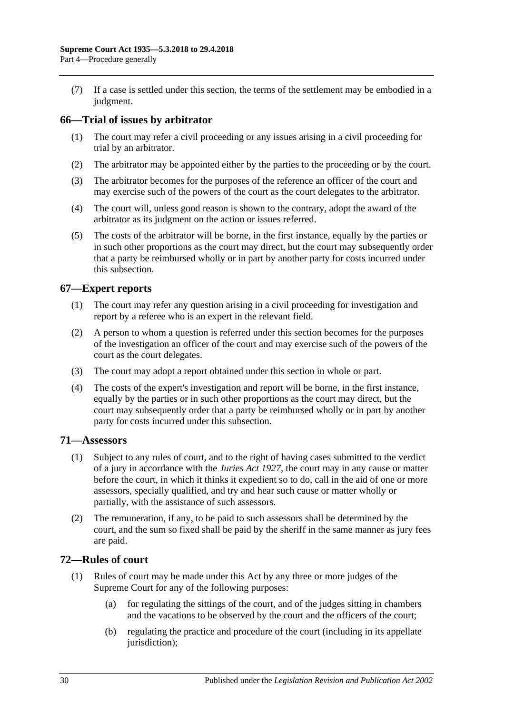(7) If a case is settled under this section, the terms of the settlement may be embodied in a judgment.

# <span id="page-29-0"></span>**66—Trial of issues by arbitrator**

- (1) The court may refer a civil proceeding or any issues arising in a civil proceeding for trial by an arbitrator.
- (2) The arbitrator may be appointed either by the parties to the proceeding or by the court.
- (3) The arbitrator becomes for the purposes of the reference an officer of the court and may exercise such of the powers of the court as the court delegates to the arbitrator.
- (4) The court will, unless good reason is shown to the contrary, adopt the award of the arbitrator as its judgment on the action or issues referred.
- (5) The costs of the arbitrator will be borne, in the first instance, equally by the parties or in such other proportions as the court may direct, but the court may subsequently order that a party be reimbursed wholly or in part by another party for costs incurred under this subsection.

# <span id="page-29-1"></span>**67—Expert reports**

- (1) The court may refer any question arising in a civil proceeding for investigation and report by a referee who is an expert in the relevant field.
- (2) A person to whom a question is referred under this section becomes for the purposes of the investigation an officer of the court and may exercise such of the powers of the court as the court delegates.
- (3) The court may adopt a report obtained under this section in whole or part.
- (4) The costs of the expert's investigation and report will be borne, in the first instance, equally by the parties or in such other proportions as the court may direct, but the court may subsequently order that a party be reimbursed wholly or in part by another party for costs incurred under this subsection.

### <span id="page-29-2"></span>**71—Assessors**

- (1) Subject to any rules of court, and to the right of having cases submitted to the verdict of a jury in accordance with the *[Juries Act](http://www.legislation.sa.gov.au/index.aspx?action=legref&type=act&legtitle=Juries%20Act%201927) 1927*, the court may in any cause or matter before the court, in which it thinks it expedient so to do, call in the aid of one or more assessors, specially qualified, and try and hear such cause or matter wholly or partially, with the assistance of such assessors.
- (2) The remuneration, if any, to be paid to such assessors shall be determined by the court, and the sum so fixed shall be paid by the sheriff in the same manner as jury fees are paid.

# <span id="page-29-3"></span>**72—Rules of court**

- (1) Rules of court may be made under this Act by any three or more judges of the Supreme Court for any of the following purposes:
	- (a) for regulating the sittings of the court, and of the judges sitting in chambers and the vacations to be observed by the court and the officers of the court;
	- (b) regulating the practice and procedure of the court (including in its appellate jurisdiction);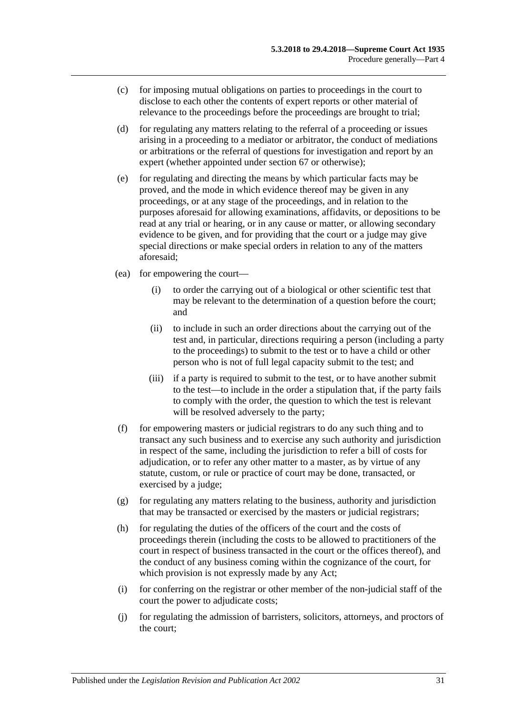- (c) for imposing mutual obligations on parties to proceedings in the court to disclose to each other the contents of expert reports or other material of relevance to the proceedings before the proceedings are brought to trial;
- (d) for regulating any matters relating to the referral of a proceeding or issues arising in a proceeding to a mediator or arbitrator, the conduct of mediations or arbitrations or the referral of questions for investigation and report by an expert (whether appointed under [section](#page-29-1) 67 or otherwise);
- (e) for regulating and directing the means by which particular facts may be proved, and the mode in which evidence thereof may be given in any proceedings, or at any stage of the proceedings, and in relation to the purposes aforesaid for allowing examinations, affidavits, or depositions to be read at any trial or hearing, or in any cause or matter, or allowing secondary evidence to be given, and for providing that the court or a judge may give special directions or make special orders in relation to any of the matters aforesaid;
- (ea) for empowering the court—
	- (i) to order the carrying out of a biological or other scientific test that may be relevant to the determination of a question before the court; and
	- (ii) to include in such an order directions about the carrying out of the test and, in particular, directions requiring a person (including a party to the proceedings) to submit to the test or to have a child or other person who is not of full legal capacity submit to the test; and
	- (iii) if a party is required to submit to the test, or to have another submit to the test—to include in the order a stipulation that, if the party fails to comply with the order, the question to which the test is relevant will be resolved adversely to the party;
- (f) for empowering masters or judicial registrars to do any such thing and to transact any such business and to exercise any such authority and jurisdiction in respect of the same, including the jurisdiction to refer a bill of costs for adjudication, or to refer any other matter to a master, as by virtue of any statute, custom, or rule or practice of court may be done, transacted, or exercised by a judge;
- $(g)$  for regulating any matters relating to the business, authority and jurisdiction that may be transacted or exercised by the masters or judicial registrars;
- (h) for regulating the duties of the officers of the court and the costs of proceedings therein (including the costs to be allowed to practitioners of the court in respect of business transacted in the court or the offices thereof), and the conduct of any business coming within the cognizance of the court, for which provision is not expressly made by any Act;
- (i) for conferring on the registrar or other member of the non-judicial staff of the court the power to adjudicate costs;
- (j) for regulating the admission of barristers, solicitors, attorneys, and proctors of the court;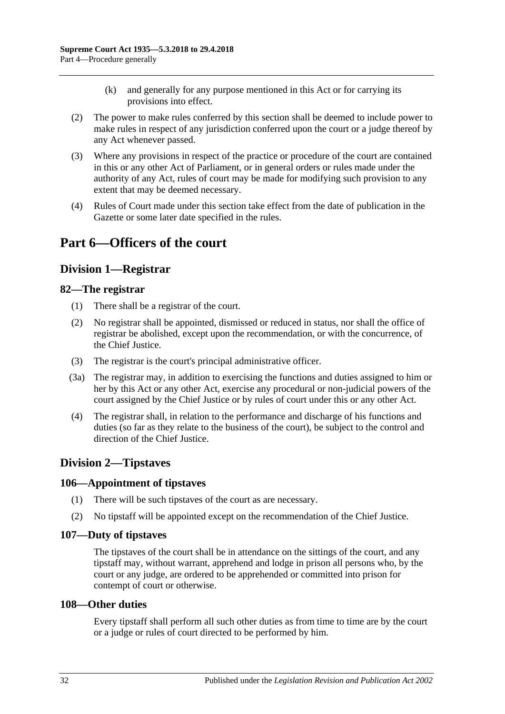- (k) and generally for any purpose mentioned in this Act or for carrying its provisions into effect.
- (2) The power to make rules conferred by this section shall be deemed to include power to make rules in respect of any jurisdiction conferred upon the court or a judge thereof by any Act whenever passed.
- (3) Where any provisions in respect of the practice or procedure of the court are contained in this or any other Act of Parliament, or in general orders or rules made under the authority of any Act, rules of court may be made for modifying such provision to any extent that may be deemed necessary.
- (4) Rules of Court made under this section take effect from the date of publication in the Gazette or some later date specified in the rules.

# <span id="page-31-1"></span><span id="page-31-0"></span>**Part 6—Officers of the court**

# **Division 1—Registrar**

# <span id="page-31-2"></span>**82—The registrar**

- (1) There shall be a registrar of the court.
- (2) No registrar shall be appointed, dismissed or reduced in status, nor shall the office of registrar be abolished, except upon the recommendation, or with the concurrence, of the Chief Justice.
- (3) The registrar is the court's principal administrative officer.
- (3a) The registrar may, in addition to exercising the functions and duties assigned to him or her by this Act or any other Act, exercise any procedural or non-judicial powers of the court assigned by the Chief Justice or by rules of court under this or any other Act.
- (4) The registrar shall, in relation to the performance and discharge of his functions and duties (so far as they relate to the business of the court), be subject to the control and direction of the Chief Justice.

# <span id="page-31-3"></span>**Division 2—Tipstaves**

### <span id="page-31-4"></span>**106—Appointment of tipstaves**

- (1) There will be such tipstaves of the court as are necessary.
- (2) No tipstaff will be appointed except on the recommendation of the Chief Justice.

### <span id="page-31-5"></span>**107—Duty of tipstaves**

The tipstaves of the court shall be in attendance on the sittings of the court, and any tipstaff may, without warrant, apprehend and lodge in prison all persons who, by the court or any judge, are ordered to be apprehended or committed into prison for contempt of court or otherwise.

### <span id="page-31-6"></span>**108—Other duties**

Every tipstaff shall perform all such other duties as from time to time are by the court or a judge or rules of court directed to be performed by him.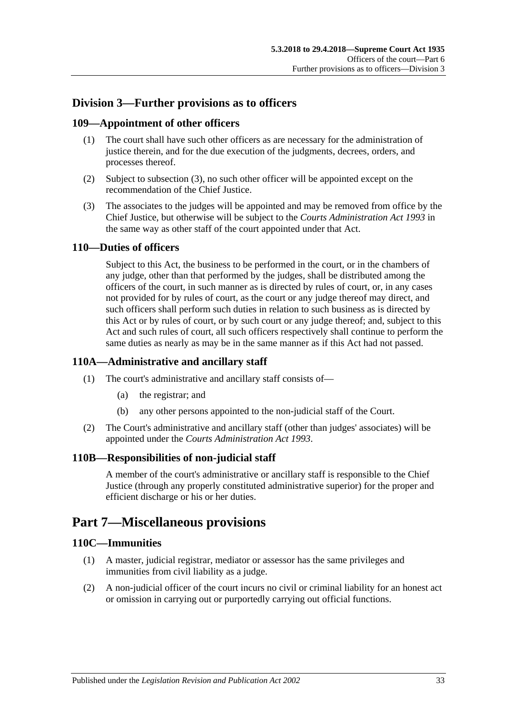# <span id="page-32-0"></span>**Division 3—Further provisions as to officers**

# <span id="page-32-1"></span>**109—Appointment of other officers**

- (1) The court shall have such other officers as are necessary for the administration of justice therein, and for the due execution of the judgments, decrees, orders, and processes thereof.
- (2) Subject to [subsection](#page-32-7) (3), no such other officer will be appointed except on the recommendation of the Chief Justice.
- <span id="page-32-7"></span>(3) The associates to the judges will be appointed and may be removed from office by the Chief Justice, but otherwise will be subject to the *[Courts Administration Act](http://www.legislation.sa.gov.au/index.aspx?action=legref&type=act&legtitle=Courts%20Administration%20Act%201993) 1993* in the same way as other staff of the court appointed under that Act.

# <span id="page-32-2"></span>**110—Duties of officers**

Subject to this Act, the business to be performed in the court, or in the chambers of any judge, other than that performed by the judges, shall be distributed among the officers of the court, in such manner as is directed by rules of court, or, in any cases not provided for by rules of court, as the court or any judge thereof may direct, and such officers shall perform such duties in relation to such business as is directed by this Act or by rules of court, or by such court or any judge thereof; and, subject to this Act and such rules of court, all such officers respectively shall continue to perform the same duties as nearly as may be in the same manner as if this Act had not passed.

# <span id="page-32-3"></span>**110A—Administrative and ancillary staff**

- (1) The court's administrative and ancillary staff consists of—
	- (a) the registrar; and
	- (b) any other persons appointed to the non-judicial staff of the Court.
- (2) The Court's administrative and ancillary staff (other than judges' associates) will be appointed under the *[Courts Administration Act](http://www.legislation.sa.gov.au/index.aspx?action=legref&type=act&legtitle=Courts%20Administration%20Act%201993) 1993*.

# <span id="page-32-4"></span>**110B—Responsibilities of non-judicial staff**

A member of the court's administrative or ancillary staff is responsible to the Chief Justice (through any properly constituted administrative superior) for the proper and efficient discharge or his or her duties.

# <span id="page-32-5"></span>**Part 7—Miscellaneous provisions**

### <span id="page-32-6"></span>**110C—Immunities**

- (1) A master, judicial registrar, mediator or assessor has the same privileges and immunities from civil liability as a judge.
- (2) A non-judicial officer of the court incurs no civil or criminal liability for an honest act or omission in carrying out or purportedly carrying out official functions.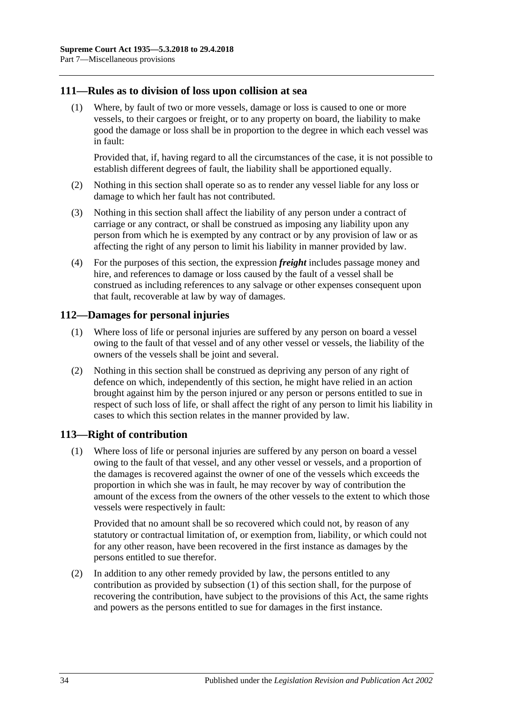### <span id="page-33-0"></span>**111—Rules as to division of loss upon collision at sea**

(1) Where, by fault of two or more vessels, damage or loss is caused to one or more vessels, to their cargoes or freight, or to any property on board, the liability to make good the damage or loss shall be in proportion to the degree in which each vessel was in fault:

Provided that, if, having regard to all the circumstances of the case, it is not possible to establish different degrees of fault, the liability shall be apportioned equally.

- (2) Nothing in this section shall operate so as to render any vessel liable for any loss or damage to which her fault has not contributed.
- (3) Nothing in this section shall affect the liability of any person under a contract of carriage or any contract, or shall be construed as imposing any liability upon any person from which he is exempted by any contract or by any provision of law or as affecting the right of any person to limit his liability in manner provided by law.
- (4) For the purposes of this section, the expression *freight* includes passage money and hire, and references to damage or loss caused by the fault of a vessel shall be construed as including references to any salvage or other expenses consequent upon that fault, recoverable at law by way of damages.

### <span id="page-33-1"></span>**112—Damages for personal injuries**

- (1) Where loss of life or personal injuries are suffered by any person on board a vessel owing to the fault of that vessel and of any other vessel or vessels, the liability of the owners of the vessels shall be joint and several.
- (2) Nothing in this section shall be construed as depriving any person of any right of defence on which, independently of this section, he might have relied in an action brought against him by the person injured or any person or persons entitled to sue in respect of such loss of life, or shall affect the right of any person to limit his liability in cases to which this section relates in the manner provided by law.

# <span id="page-33-3"></span><span id="page-33-2"></span>**113—Right of contribution**

(1) Where loss of life or personal injuries are suffered by any person on board a vessel owing to the fault of that vessel, and any other vessel or vessels, and a proportion of the damages is recovered against the owner of one of the vessels which exceeds the proportion in which she was in fault, he may recover by way of contribution the amount of the excess from the owners of the other vessels to the extent to which those vessels were respectively in fault:

Provided that no amount shall be so recovered which could not, by reason of any statutory or contractual limitation of, or exemption from, liability, or which could not for any other reason, have been recovered in the first instance as damages by the persons entitled to sue therefor.

(2) In addition to any other remedy provided by law, the persons entitled to any contribution as provided by [subsection](#page-33-3) (1) of this section shall, for the purpose of recovering the contribution, have subject to the provisions of this Act, the same rights and powers as the persons entitled to sue for damages in the first instance.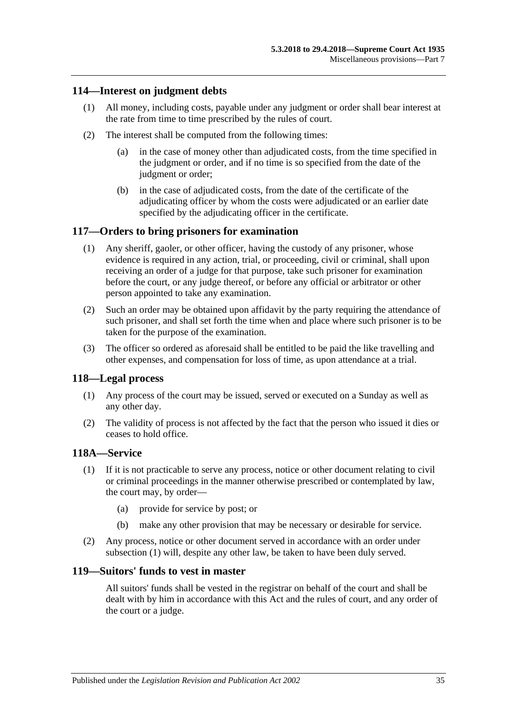# <span id="page-34-0"></span>**114—Interest on judgment debts**

- (1) All money, including costs, payable under any judgment or order shall bear interest at the rate from time to time prescribed by the rules of court.
- (2) The interest shall be computed from the following times:
	- (a) in the case of money other than adjudicated costs, from the time specified in the judgment or order, and if no time is so specified from the date of the judgment or order;
	- (b) in the case of adjudicated costs, from the date of the certificate of the adjudicating officer by whom the costs were adjudicated or an earlier date specified by the adjudicating officer in the certificate.

### <span id="page-34-1"></span>**117—Orders to bring prisoners for examination**

- (1) Any sheriff, gaoler, or other officer, having the custody of any prisoner, whose evidence is required in any action, trial, or proceeding, civil or criminal, shall upon receiving an order of a judge for that purpose, take such prisoner for examination before the court, or any judge thereof, or before any official or arbitrator or other person appointed to take any examination.
- (2) Such an order may be obtained upon affidavit by the party requiring the attendance of such prisoner, and shall set forth the time when and place where such prisoner is to be taken for the purpose of the examination.
- (3) The officer so ordered as aforesaid shall be entitled to be paid the like travelling and other expenses, and compensation for loss of time, as upon attendance at a trial.

### <span id="page-34-2"></span>**118—Legal process**

- (1) Any process of the court may be issued, served or executed on a Sunday as well as any other day.
- (2) The validity of process is not affected by the fact that the person who issued it dies or ceases to hold office.

### <span id="page-34-5"></span><span id="page-34-3"></span>**118A—Service**

- (1) If it is not practicable to serve any process, notice or other document relating to civil or criminal proceedings in the manner otherwise prescribed or contemplated by law, the court may, by order—
	- (a) provide for service by post; or
	- (b) make any other provision that may be necessary or desirable for service.
- (2) Any process, notice or other document served in accordance with an order under [subsection](#page-34-5) (1) will, despite any other law, be taken to have been duly served.

# <span id="page-34-4"></span>**119—Suitors' funds to vest in master**

All suitors' funds shall be vested in the registrar on behalf of the court and shall be dealt with by him in accordance with this Act and the rules of court, and any order of the court or a judge.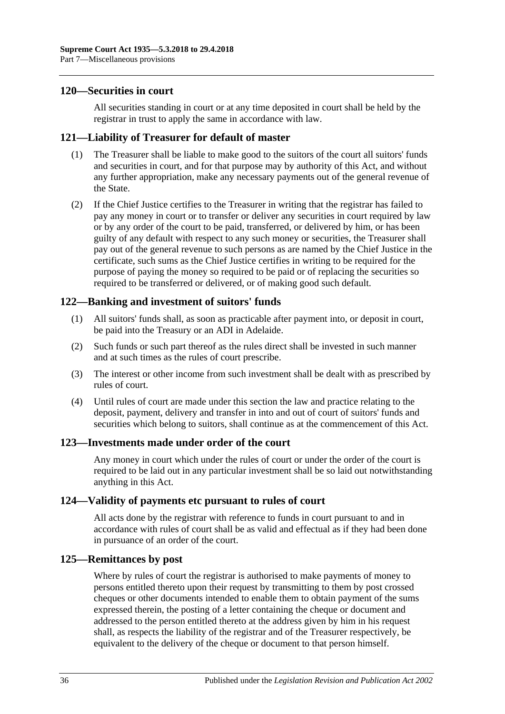### <span id="page-35-0"></span>**120—Securities in court**

All securities standing in court or at any time deposited in court shall be held by the registrar in trust to apply the same in accordance with law.

### <span id="page-35-1"></span>**121—Liability of Treasurer for default of master**

- (1) The Treasurer shall be liable to make good to the suitors of the court all suitors' funds and securities in court, and for that purpose may by authority of this Act, and without any further appropriation, make any necessary payments out of the general revenue of the State.
- (2) If the Chief Justice certifies to the Treasurer in writing that the registrar has failed to pay any money in court or to transfer or deliver any securities in court required by law or by any order of the court to be paid, transferred, or delivered by him, or has been guilty of any default with respect to any such money or securities, the Treasurer shall pay out of the general revenue to such persons as are named by the Chief Justice in the certificate, such sums as the Chief Justice certifies in writing to be required for the purpose of paying the money so required to be paid or of replacing the securities so required to be transferred or delivered, or of making good such default.

# <span id="page-35-2"></span>**122—Banking and investment of suitors' funds**

- (1) All suitors' funds shall, as soon as practicable after payment into, or deposit in court, be paid into the Treasury or an ADI in Adelaide.
- (2) Such funds or such part thereof as the rules direct shall be invested in such manner and at such times as the rules of court prescribe.
- (3) The interest or other income from such investment shall be dealt with as prescribed by rules of court.
- (4) Until rules of court are made under this section the law and practice relating to the deposit, payment, delivery and transfer in into and out of court of suitors' funds and securities which belong to suitors, shall continue as at the commencement of this Act.

### <span id="page-35-3"></span>**123—Investments made under order of the court**

Any money in court which under the rules of court or under the order of the court is required to be laid out in any particular investment shall be so laid out notwithstanding anything in this Act.

### <span id="page-35-4"></span>**124—Validity of payments etc pursuant to rules of court**

All acts done by the registrar with reference to funds in court pursuant to and in accordance with rules of court shall be as valid and effectual as if they had been done in pursuance of an order of the court.

### <span id="page-35-5"></span>**125—Remittances by post**

Where by rules of court the registrar is authorised to make payments of money to persons entitled thereto upon their request by transmitting to them by post crossed cheques or other documents intended to enable them to obtain payment of the sums expressed therein, the posting of a letter containing the cheque or document and addressed to the person entitled thereto at the address given by him in his request shall, as respects the liability of the registrar and of the Treasurer respectively, be equivalent to the delivery of the cheque or document to that person himself.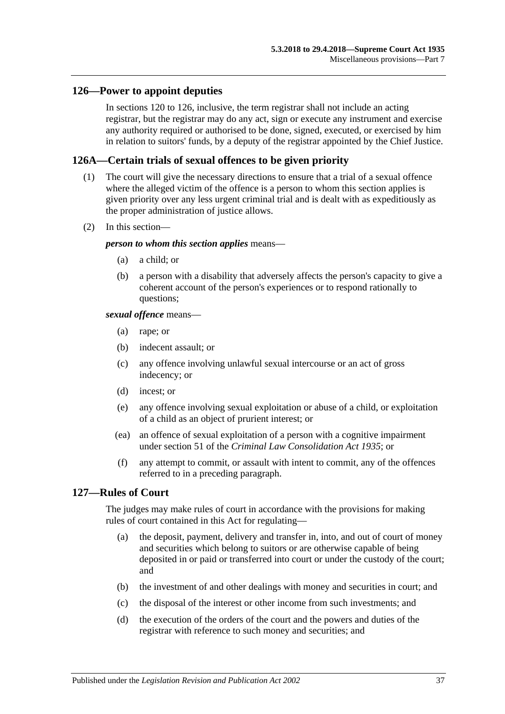### <span id="page-36-0"></span>**126—Power to appoint deputies**

In [sections](#page-35-0) 120 to 126, inclusive, the term registrar shall not include an acting registrar, but the registrar may do any act, sign or execute any instrument and exercise any authority required or authorised to be done, signed, executed, or exercised by him in relation to suitors' funds, by a deputy of the registrar appointed by the Chief Justice.

### <span id="page-36-1"></span>**126A—Certain trials of sexual offences to be given priority**

- (1) The court will give the necessary directions to ensure that a trial of a sexual offence where the alleged victim of the offence is a person to whom this section applies is given priority over any less urgent criminal trial and is dealt with as expeditiously as the proper administration of justice allows.
- (2) In this section—

#### *person to whom this section applies* means—

- (a) a child; or
- (b) a person with a disability that adversely affects the person's capacity to give a coherent account of the person's experiences or to respond rationally to questions;

### *sexual offence* means—

- (a) rape; or
- (b) indecent assault; or
- (c) any offence involving unlawful sexual intercourse or an act of gross indecency; or
- (d) incest; or
- (e) any offence involving sexual exploitation or abuse of a child, or exploitation of a child as an object of prurient interest; or
- (ea) an offence of sexual exploitation of a person with a cognitive impairment under section 51 of the *[Criminal Law Consolidation Act](http://www.legislation.sa.gov.au/index.aspx?action=legref&type=act&legtitle=Criminal%20Law%20Consolidation%20Act%201935) 1935*; or
- (f) any attempt to commit, or assault with intent to commit, any of the offences referred to in a preceding paragraph.

# <span id="page-36-2"></span>**127—Rules of Court**

The judges may make rules of court in accordance with the provisions for making rules of court contained in this Act for regulating—

- (a) the deposit, payment, delivery and transfer in, into, and out of court of money and securities which belong to suitors or are otherwise capable of being deposited in or paid or transferred into court or under the custody of the court; and
- (b) the investment of and other dealings with money and securities in court; and
- (c) the disposal of the interest or other income from such investments; and
- (d) the execution of the orders of the court and the powers and duties of the registrar with reference to such money and securities; and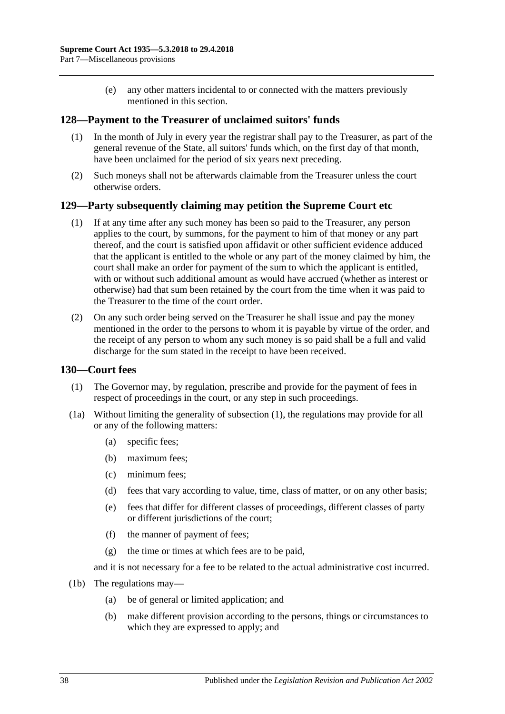(e) any other matters incidental to or connected with the matters previously mentioned in this section.

### <span id="page-37-0"></span>**128—Payment to the Treasurer of unclaimed suitors' funds**

- (1) In the month of July in every year the registrar shall pay to the Treasurer, as part of the general revenue of the State, all suitors' funds which, on the first day of that month, have been unclaimed for the period of six years next preceding.
- (2) Such moneys shall not be afterwards claimable from the Treasurer unless the court otherwise orders.

### <span id="page-37-1"></span>**129—Party subsequently claiming may petition the Supreme Court etc**

- (1) If at any time after any such money has been so paid to the Treasurer, any person applies to the court, by summons, for the payment to him of that money or any part thereof, and the court is satisfied upon affidavit or other sufficient evidence adduced that the applicant is entitled to the whole or any part of the money claimed by him, the court shall make an order for payment of the sum to which the applicant is entitled, with or without such additional amount as would have accrued (whether as interest or otherwise) had that sum been retained by the court from the time when it was paid to the Treasurer to the time of the court order.
- (2) On any such order being served on the Treasurer he shall issue and pay the money mentioned in the order to the persons to whom it is payable by virtue of the order, and the receipt of any person to whom any such money is so paid shall be a full and valid discharge for the sum stated in the receipt to have been received.

### <span id="page-37-3"></span><span id="page-37-2"></span>**130—Court fees**

- (1) The Governor may, by regulation, prescribe and provide for the payment of fees in respect of proceedings in the court, or any step in such proceedings.
- (1a) Without limiting the generality of [subsection](#page-37-3) (1), the regulations may provide for all or any of the following matters:
	- (a) specific fees;
	- (b) maximum fees;
	- (c) minimum fees;
	- (d) fees that vary according to value, time, class of matter, or on any other basis;
	- (e) fees that differ for different classes of proceedings, different classes of party or different jurisdictions of the court;
	- (f) the manner of payment of fees;
	- (g) the time or times at which fees are to be paid,

and it is not necessary for a fee to be related to the actual administrative cost incurred.

- (1b) The regulations may—
	- (a) be of general or limited application; and
	- (b) make different provision according to the persons, things or circumstances to which they are expressed to apply; and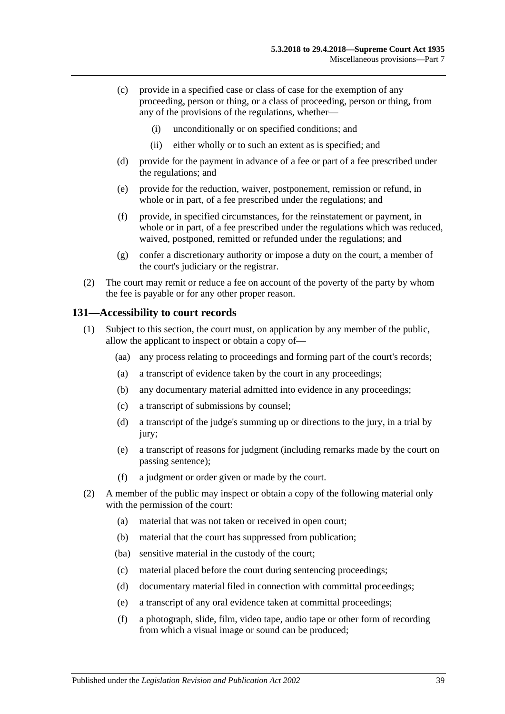- (c) provide in a specified case or class of case for the exemption of any proceeding, person or thing, or a class of proceeding, person or thing, from any of the provisions of the regulations, whether—
	- (i) unconditionally or on specified conditions; and
	- (ii) either wholly or to such an extent as is specified; and
- (d) provide for the payment in advance of a fee or part of a fee prescribed under the regulations; and
- (e) provide for the reduction, waiver, postponement, remission or refund, in whole or in part, of a fee prescribed under the regulations; and
- (f) provide, in specified circumstances, for the reinstatement or payment, in whole or in part, of a fee prescribed under the regulations which was reduced, waived, postponed, remitted or refunded under the regulations; and
- (g) confer a discretionary authority or impose a duty on the court, a member of the court's judiciary or the registrar.
- (2) The court may remit or reduce a fee on account of the poverty of the party by whom the fee is payable or for any other proper reason.

### <span id="page-38-0"></span>**131—Accessibility to court records**

- (1) Subject to this section, the court must, on application by any member of the public, allow the applicant to inspect or obtain a copy of—
	- (aa) any process relating to proceedings and forming part of the court's records;
	- (a) a transcript of evidence taken by the court in any proceedings;
	- (b) any documentary material admitted into evidence in any proceedings;
	- (c) a transcript of submissions by counsel;
	- (d) a transcript of the judge's summing up or directions to the jury, in a trial by jury;
	- (e) a transcript of reasons for judgment (including remarks made by the court on passing sentence);
	- (f) a judgment or order given or made by the court.
- <span id="page-38-1"></span>(2) A member of the public may inspect or obtain a copy of the following material only with the permission of the court:
	- (a) material that was not taken or received in open court;
	- (b) material that the court has suppressed from publication;
	- (ba) sensitive material in the custody of the court;
	- (c) material placed before the court during sentencing proceedings;
	- (d) documentary material filed in connection with committal proceedings;
	- (e) a transcript of any oral evidence taken at committal proceedings;
	- (f) a photograph, slide, film, video tape, audio tape or other form of recording from which a visual image or sound can be produced;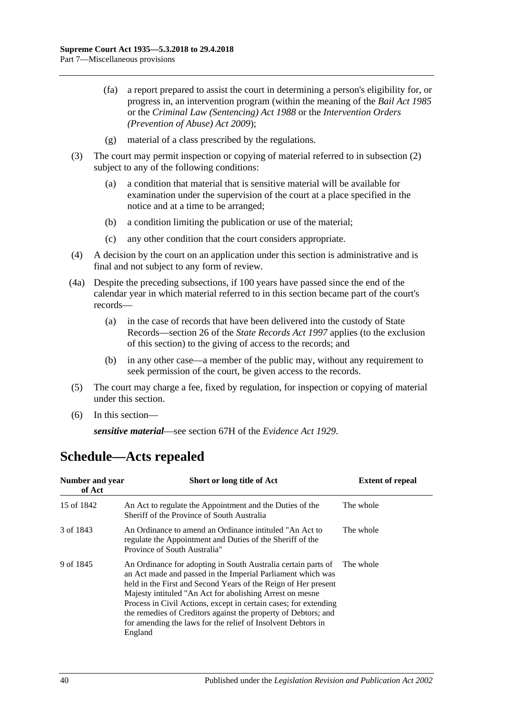- (fa) a report prepared to assist the court in determining a person's eligibility for, or progress in, an intervention program (within the meaning of the *[Bail Act](http://www.legislation.sa.gov.au/index.aspx?action=legref&type=act&legtitle=Bail%20Act%201985) 1985* or the *[Criminal Law \(Sentencing\) Act](http://www.legislation.sa.gov.au/index.aspx?action=legref&type=act&legtitle=Criminal%20Law%20(Sentencing)%20Act%201988) 1988* or the *Intervention Orders (Prevention of Abuse) Act 2009*);
- (g) material of a class prescribed by the regulations.
- (3) The court may permit inspection or copying of material referred to in [subsection](#page-38-1) (2) subject to any of the following conditions:
	- (a) a condition that material that is sensitive material will be available for examination under the supervision of the court at a place specified in the notice and at a time to be arranged;
	- (b) a condition limiting the publication or use of the material;
	- (c) any other condition that the court considers appropriate.
- (4) A decision by the court on an application under this section is administrative and is final and not subject to any form of review.
- (4a) Despite the preceding subsections, if 100 years have passed since the end of the calendar year in which material referred to in this section became part of the court's records—
	- (a) in the case of records that have been delivered into the custody of State Records—section 26 of the *[State Records Act](http://www.legislation.sa.gov.au/index.aspx?action=legref&type=act&legtitle=State%20Records%20Act%201997) 1997* applies (to the exclusion of this section) to the giving of access to the records; and
	- (b) in any other case—a member of the public may, without any requirement to seek permission of the court, be given access to the records.
- (5) The court may charge a fee, fixed by regulation, for inspection or copying of material under this section.
- (6) In this section—

*sensitive material*—see section 67H of the *[Evidence Act](http://www.legislation.sa.gov.au/index.aspx?action=legref&type=act&legtitle=Evidence%20Act%201929) 1929*.

| Number and year<br>of Act | Short or long title of Act                                                                                                                                                                                                                                                                                                                                                                                                                                                            | <b>Extent of repeal</b> |
|---------------------------|---------------------------------------------------------------------------------------------------------------------------------------------------------------------------------------------------------------------------------------------------------------------------------------------------------------------------------------------------------------------------------------------------------------------------------------------------------------------------------------|-------------------------|
| 15 of 1842                | An Act to regulate the Appointment and the Duties of the<br>Sheriff of the Province of South Australia                                                                                                                                                                                                                                                                                                                                                                                | The whole               |
| 3 of 1843                 | An Ordinance to amend an Ordinance intituled "An Act to<br>regulate the Appointment and Duties of the Sheriff of the<br>Province of South Australia"                                                                                                                                                                                                                                                                                                                                  | The whole               |
| 9 of 1845                 | An Ordinance for adopting in South Australia certain parts of The whole<br>an Act made and passed in the Imperial Parliament which was<br>held in the First and Second Years of the Reign of Her present<br>Majesty intituled "An Act for abolishing Arrest on mesne<br>Process in Civil Actions, except in certain cases; for extending<br>the remedies of Creditors against the property of Debtors; and<br>for amending the laws for the relief of Insolvent Debtors in<br>England |                         |

# <span id="page-39-0"></span>**Schedule—Acts repealed**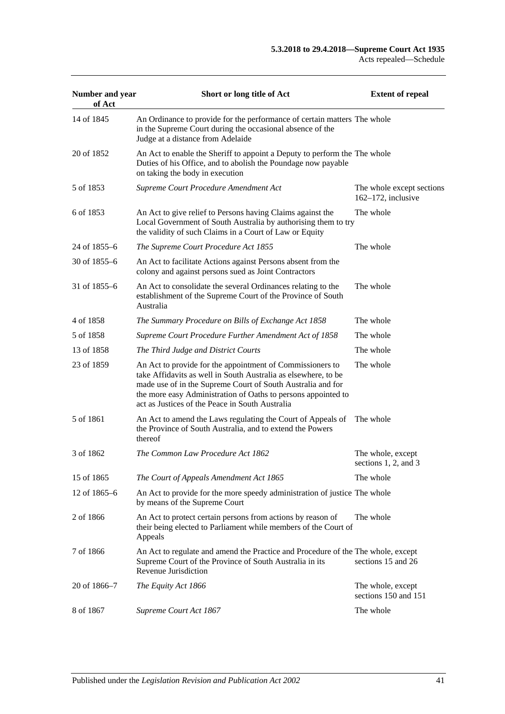| Number and year<br>of Act | Short or long title of Act                                                                                                                                                                                                                                                                                     | <b>Extent of repeal</b>                         |
|---------------------------|----------------------------------------------------------------------------------------------------------------------------------------------------------------------------------------------------------------------------------------------------------------------------------------------------------------|-------------------------------------------------|
| 14 of 1845                | An Ordinance to provide for the performance of certain matters The whole<br>in the Supreme Court during the occasional absence of the<br>Judge at a distance from Adelaide                                                                                                                                     |                                                 |
| 20 of 1852                | An Act to enable the Sheriff to appoint a Deputy to perform the The whole<br>Duties of his Office, and to abolish the Poundage now payable<br>on taking the body in execution                                                                                                                                  |                                                 |
| 5 of 1853                 | Supreme Court Procedure Amendment Act                                                                                                                                                                                                                                                                          | The whole except sections<br>162-172, inclusive |
| 6 of 1853                 | An Act to give relief to Persons having Claims against the<br>Local Government of South Australia by authorising them to try<br>the validity of such Claims in a Court of Law or Equity                                                                                                                        | The whole                                       |
| 24 of 1855–6              | The Supreme Court Procedure Act 1855                                                                                                                                                                                                                                                                           | The whole                                       |
| 30 of 1855–6              | An Act to facilitate Actions against Persons absent from the<br>colony and against persons sued as Joint Contractors                                                                                                                                                                                           |                                                 |
| 31 of 1855–6              | An Act to consolidate the several Ordinances relating to the<br>establishment of the Supreme Court of the Province of South<br>Australia                                                                                                                                                                       | The whole                                       |
| 4 of 1858                 | The Summary Procedure on Bills of Exchange Act 1858                                                                                                                                                                                                                                                            | The whole                                       |
| 5 of 1858                 | Supreme Court Procedure Further Amendment Act of 1858                                                                                                                                                                                                                                                          | The whole                                       |
| 13 of 1858                | The Third Judge and District Courts                                                                                                                                                                                                                                                                            | The whole                                       |
| 23 of 1859                | An Act to provide for the appointment of Commissioners to<br>take Affidavits as well in South Australia as elsewhere, to be<br>made use of in the Supreme Court of South Australia and for<br>the more easy Administration of Oaths to persons appointed to<br>act as Justices of the Peace in South Australia | The whole                                       |
| 5 of 1861                 | An Act to amend the Laws regulating the Court of Appeals of<br>the Province of South Australia, and to extend the Powers<br>thereof                                                                                                                                                                            | The whole                                       |
| 3 of 1862                 | The Common Law Procedure Act 1862                                                                                                                                                                                                                                                                              | The whole, except<br>sections 1, 2, and $3$     |
| 15 of 1865                | The Court of Appeals Amendment Act 1865                                                                                                                                                                                                                                                                        | The whole                                       |
| 12 of 1865–6              | An Act to provide for the more speedy administration of justice The whole<br>by means of the Supreme Court                                                                                                                                                                                                     |                                                 |
| 2 of 1866                 | An Act to protect certain persons from actions by reason of<br>their being elected to Parliament while members of the Court of<br>Appeals                                                                                                                                                                      | The whole                                       |
| 7 of 1866                 | An Act to regulate and amend the Practice and Procedure of the The whole, except<br>Supreme Court of the Province of South Australia in its<br>Revenue Jurisdiction                                                                                                                                            | sections 15 and 26                              |
| 20 of 1866-7              | The Equity Act 1866                                                                                                                                                                                                                                                                                            | The whole, except<br>sections 150 and 151       |
| 8 of 1867                 | Supreme Court Act 1867                                                                                                                                                                                                                                                                                         | The whole                                       |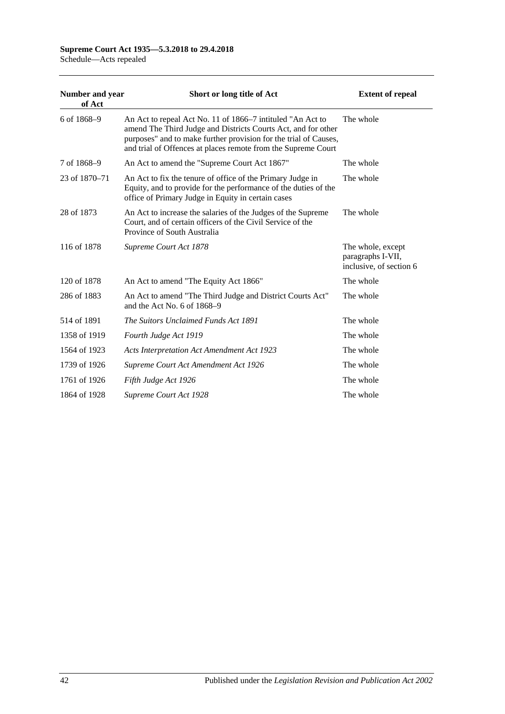# **Supreme Court Act 1935—5.3.2018 to 29.4.2018**

| Schedule-Acts repealed |  |  |
|------------------------|--|--|
|------------------------|--|--|

| Number and year<br>of Act | Short or long title of Act                                                                                                                                                                                                                                       | <b>Extent of repeal</b>                                           |
|---------------------------|------------------------------------------------------------------------------------------------------------------------------------------------------------------------------------------------------------------------------------------------------------------|-------------------------------------------------------------------|
| 6 of 1868-9               | An Act to repeal Act No. 11 of 1866–7 intituled "An Act to<br>amend The Third Judge and Districts Courts Act, and for other<br>purposes" and to make further provision for the trial of Causes,<br>and trial of Offences at places remote from the Supreme Court | The whole                                                         |
| 7 of 1868-9               | An Act to amend the "Supreme Court Act 1867"                                                                                                                                                                                                                     | The whole                                                         |
| 23 of 1870-71             | An Act to fix the tenure of office of the Primary Judge in<br>Equity, and to provide for the performance of the duties of the<br>office of Primary Judge in Equity in certain cases                                                                              | The whole                                                         |
| 28 of 1873                | An Act to increase the salaries of the Judges of the Supreme<br>Court, and of certain officers of the Civil Service of the<br>Province of South Australia                                                                                                        | The whole                                                         |
| 116 of 1878               | Supreme Court Act 1878                                                                                                                                                                                                                                           | The whole, except<br>paragraphs I-VII,<br>inclusive, of section 6 |
| 120 of 1878               | An Act to amend "The Equity Act 1866"                                                                                                                                                                                                                            | The whole                                                         |
| 286 of 1883               | An Act to amend "The Third Judge and District Courts Act"<br>and the Act No. 6 of $1868-9$                                                                                                                                                                       | The whole                                                         |
| 514 of 1891               | The Suitors Unclaimed Funds Act 1891                                                                                                                                                                                                                             | The whole                                                         |
| 1358 of 1919              | Fourth Judge Act 1919                                                                                                                                                                                                                                            | The whole                                                         |
| 1564 of 1923              | <b>Acts Interpretation Act Amendment Act 1923</b>                                                                                                                                                                                                                | The whole                                                         |
| 1739 of 1926              | Supreme Court Act Amendment Act 1926                                                                                                                                                                                                                             | The whole                                                         |
| 1761 of 1926              | Fifth Judge Act 1926                                                                                                                                                                                                                                             | The whole                                                         |
| 1864 of 1928              | Supreme Court Act 1928                                                                                                                                                                                                                                           | The whole                                                         |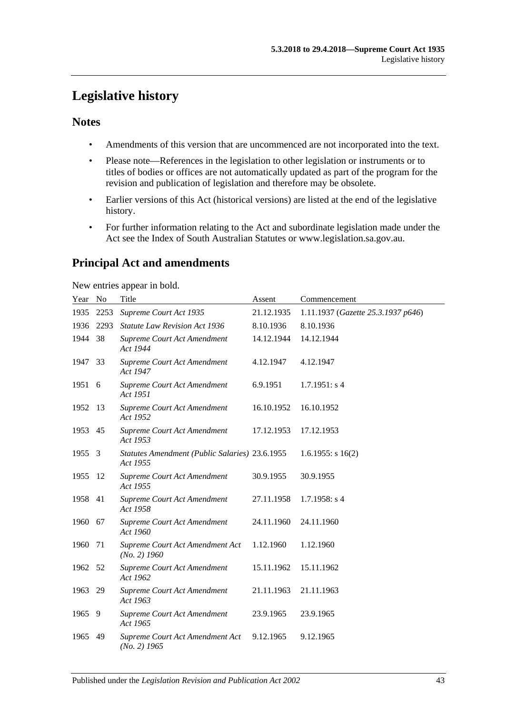# <span id="page-42-0"></span>**Legislative history**

# **Notes**

- Amendments of this version that are uncommenced are not incorporated into the text.
- Please note—References in the legislation to other legislation or instruments or to titles of bodies or offices are not automatically updated as part of the program for the revision and publication of legislation and therefore may be obsolete.
- Earlier versions of this Act (historical versions) are listed at the end of the legislative history.
- For further information relating to the Act and subordinate legislation made under the Act see the Index of South Australian Statutes or www.legislation.sa.gov.au.

# **Principal Act and amendments**

New entries appear in bold.

| Year No |      | Title                                                      | Assent     | Commencement                       |
|---------|------|------------------------------------------------------------|------------|------------------------------------|
| 1935    | 2253 | Supreme Court Act 1935                                     | 21.12.1935 | 1.11.1937 (Gazette 25.3.1937 p646) |
| 1936    | 2293 | <b>Statute Law Revision Act 1936</b>                       | 8.10.1936  | 8.10.1936                          |
| 1944    | 38   | Supreme Court Act Amendment<br>Act 1944                    | 14.12.1944 | 14.12.1944                         |
| 1947    | 33   | Supreme Court Act Amendment<br>Act 1947                    | 4.12.1947  | 4.12.1947                          |
| 1951 6  |      | Supreme Court Act Amendment<br>Act 1951                    | 6.9.1951   | 1.7.1951: s4                       |
| 1952    | -13  | Supreme Court Act Amendment<br>Act 1952                    | 16.10.1952 | 16.10.1952                         |
| 1953 45 |      | Supreme Court Act Amendment<br>Act 1953                    | 17.12.1953 | 17.12.1953                         |
| 1955    | 3    | Statutes Amendment (Public Salaries) 23.6.1955<br>Act 1955 |            | 1.6.1955: $s 16(2)$                |
| 1955    | -12  | Supreme Court Act Amendment<br>Act 1955                    | 30.9.1955  | 30.9.1955                          |
| 1958    | -41  | Supreme Court Act Amendment<br>Act 1958                    | 27.11.1958 | $1.7.1958$ : s 4                   |
| 1960    | 67   | Supreme Court Act Amendment<br>Act 1960                    | 24.11.1960 | 24.11.1960                         |
| 1960    | 71   | Supreme Court Act Amendment Act<br>$(No. 2)$ 1960          | 1.12.1960  | 1.12.1960                          |
| 1962    | - 52 | Supreme Court Act Amendment<br>Act 1962                    | 15.11.1962 | 15.11.1962                         |
| 1963    | 29   | Supreme Court Act Amendment<br>Act 1963                    | 21.11.1963 | 21.11.1963                         |
| 1965    | -9   | Supreme Court Act Amendment<br>Act 1965                    | 23.9.1965  | 23.9.1965                          |
| 1965    | 49   | Supreme Court Act Amendment Act<br>$(No. 2)$ 1965          | 9.12.1965  | 9.12.1965                          |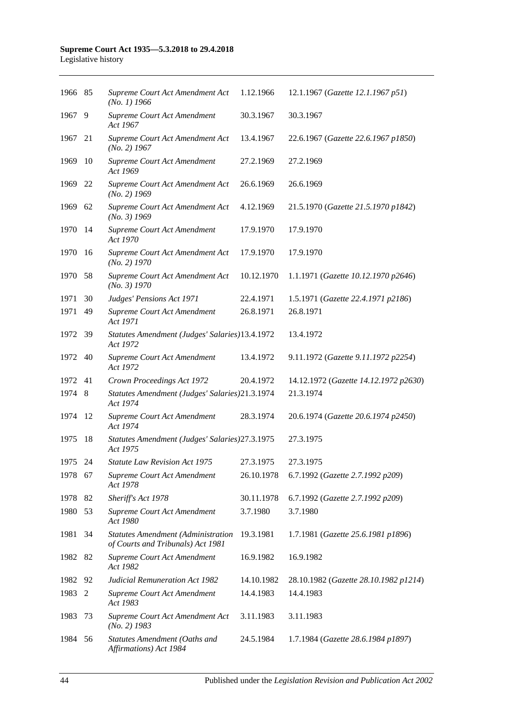#### **Supreme Court Act 1935—5.3.2018 to 29.4.2018** Legislative history

| 1966 85 |      | Supreme Court Act Amendment Act<br>$(No. 1)$ 1966                              | 1.12.1966  | 12.1.1967 (Gazette 12.1.1967 p51)     |
|---------|------|--------------------------------------------------------------------------------|------------|---------------------------------------|
| 1967    | 9    | Supreme Court Act Amendment<br>Act 1967                                        | 30.3.1967  | 30.3.1967                             |
| 1967    | 21   | Supreme Court Act Amendment Act<br>$(No. 2)$ 1967                              | 13.4.1967  | 22.6.1967 (Gazette 22.6.1967 p1850)   |
| 1969    | 10   | Supreme Court Act Amendment<br>Act 1969                                        | 27.2.1969  | 27.2.1969                             |
| 1969    | 22   | Supreme Court Act Amendment Act<br>$(No. 2)$ 1969                              | 26.6.1969  | 26.6.1969                             |
| 1969    | 62   | Supreme Court Act Amendment Act<br>$(No. 3)$ 1969                              | 4.12.1969  | 21.5.1970 (Gazette 21.5.1970 p1842)   |
| 1970    | 14   | Supreme Court Act Amendment<br>Act 1970                                        | 17.9.1970  | 17.9.1970                             |
| 1970    | 16   | Supreme Court Act Amendment Act<br>(No. 2) 1970                                | 17.9.1970  | 17.9.1970                             |
| 1970    | - 58 | Supreme Court Act Amendment Act<br>(No. 3) 1970                                | 10.12.1970 | 1.1.1971 (Gazette 10.12.1970 p2646)   |
| 1971    | 30   | Judges' Pensions Act 1971                                                      | 22.4.1971  | 1.5.1971 (Gazette 22.4.1971 p2186)    |
| 1971    | 49   | Supreme Court Act Amendment<br>Act 1971                                        | 26.8.1971  | 26.8.1971                             |
| 1972    | 39   | Statutes Amendment (Judges' Salaries)13.4.1972<br>Act 1972                     |            | 13.4.1972                             |
| 1972    | 40   | Supreme Court Act Amendment<br>Act 1972                                        | 13.4.1972  | 9.11.1972 (Gazette 9.11.1972 p2254)   |
| 1972    | 41   | Crown Proceedings Act 1972                                                     | 20.4.1972  | 14.12.1972 (Gazette 14.12.1972 p2630) |
| 1974    | 8    | Statutes Amendment (Judges' Salaries)21.3.1974<br>Act 1974                     |            | 21.3.1974                             |
| 1974    | -12  | Supreme Court Act Amendment<br>Act 1974                                        | 28.3.1974  | 20.6.1974 (Gazette 20.6.1974 p2450)   |
| 1975    | 18   | Statutes Amendment (Judges' Salaries) 27.3.1975<br>Act 1975                    |            | 27.3.1975                             |
| 1975    | 24   | <b>Statute Law Revision Act 1975</b>                                           | 27.3.1975  | 27.3.1975                             |
| 1978 67 |      | Supreme Court Act Amendment<br>Act 1978                                        | 26.10.1978 | 6.7.1992 (Gazette 2.7.1992 p209)      |
| 1978    | 82   | Sheriff's Act 1978                                                             | 30.11.1978 | 6.7.1992 (Gazette 2.7.1992 p209)      |
| 1980    | 53   | Supreme Court Act Amendment<br>Act 1980                                        | 3.7.1980   | 3.7.1980                              |
| 1981    | 34   | <b>Statutes Amendment (Administration</b><br>of Courts and Tribunals) Act 1981 | 19.3.1981  | 1.7.1981 (Gazette 25.6.1981 p1896)    |
| 1982    | 82   | Supreme Court Act Amendment<br>Act 1982                                        | 16.9.1982  | 16.9.1982                             |
| 1982    | 92   | <b>Judicial Remuneration Act 1982</b>                                          | 14.10.1982 | 28.10.1982 (Gazette 28.10.1982 p1214) |
| 1983    | 2    | Supreme Court Act Amendment<br>Act 1983                                        | 14.4.1983  | 14.4.1983                             |
| 1983    | 73   | Supreme Court Act Amendment Act<br>$(No. 2)$ 1983                              | 3.11.1983  | 3.11.1983                             |
| 1984    | 56   | Statutes Amendment (Oaths and<br>Affirmations) Act 1984                        | 24.5.1984  | 1.7.1984 (Gazette 28.6.1984 p1897)    |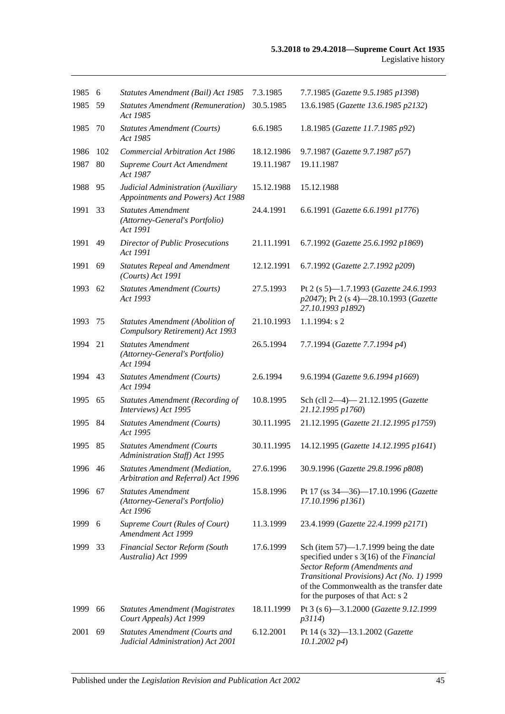| 1985    | 6   | Statutes Amendment (Bail) Act 1985                                         | 7.3.1985   | 7.7.1985 (Gazette 9.5.1985 p1398)                                                                                                                                                                                                                   |
|---------|-----|----------------------------------------------------------------------------|------------|-----------------------------------------------------------------------------------------------------------------------------------------------------------------------------------------------------------------------------------------------------|
| 1985    | 59  | <b>Statutes Amendment (Remuneration)</b><br>Act 1985                       | 30.5.1985  | 13.6.1985 (Gazette 13.6.1985 p2132)                                                                                                                                                                                                                 |
| 1985    | 70  | <b>Statutes Amendment (Courts)</b><br>Act 1985                             | 6.6.1985   | 1.8.1985 (Gazette 11.7.1985 p92)                                                                                                                                                                                                                    |
| 1986    | 102 | <b>Commercial Arbitration Act 1986</b>                                     | 18.12.1986 | 9.7.1987 (Gazette 9.7.1987 p57)                                                                                                                                                                                                                     |
| 1987    | 80  | Supreme Court Act Amendment<br>Act 1987                                    | 19.11.1987 | 19.11.1987                                                                                                                                                                                                                                          |
| 1988    | 95  | Judicial Administration (Auxiliary<br>Appointments and Powers) Act 1988    | 15.12.1988 | 15.12.1988                                                                                                                                                                                                                                          |
| 1991    | 33  | <b>Statutes Amendment</b><br>(Attorney-General's Portfolio)<br>Act 1991    | 24.4.1991  | 6.6.1991 (Gazette 6.6.1991 p1776)                                                                                                                                                                                                                   |
| 1991    | 49  | <b>Director of Public Prosecutions</b><br>Act 1991                         | 21.11.1991 | 6.7.1992 (Gazette 25.6.1992 p1869)                                                                                                                                                                                                                  |
| 1991    | 69  | <b>Statutes Repeal and Amendment</b><br>$(Courts)$ Act 1991                | 12.12.1991 | 6.7.1992 (Gazette 2.7.1992 p209)                                                                                                                                                                                                                    |
| 1993    | 62  | <b>Statutes Amendment (Courts)</b><br>Act 1993                             | 27.5.1993  | Pt 2 (s 5)-1.7.1993 (Gazette 24.6.1993<br>p2047); Pt 2 (s 4)-28.10.1993 (Gazette<br>27.10.1993 p1892)                                                                                                                                               |
| 1993    | 75  | <b>Statutes Amendment (Abolition of</b><br>Compulsory Retirement) Act 1993 | 21.10.1993 | $1.1.1994$ : s 2                                                                                                                                                                                                                                    |
| 1994    | 21  | <b>Statutes Amendment</b><br>(Attorney-General's Portfolio)<br>Act 1994    | 26.5.1994  | 7.7.1994 (Gazette 7.7.1994 p4)                                                                                                                                                                                                                      |
| 1994 43 |     | <b>Statutes Amendment (Courts)</b><br>Act 1994                             | 2.6.1994   | 9.6.1994 (Gazette 9.6.1994 p1669)                                                                                                                                                                                                                   |
| 1995    | 65  | <b>Statutes Amendment (Recording of</b><br>Interviews) Act 1995            | 10.8.1995  | Sch (cll 2-4)-21.12.1995 (Gazette<br>21.12.1995 p1760)                                                                                                                                                                                              |
| 1995    | 84  | <b>Statutes Amendment (Courts)</b><br>Act 1995                             | 30.11.1995 | 21.12.1995 (Gazette 21.12.1995 p1759)                                                                                                                                                                                                               |
| 1995    | 85  | <b>Statutes Amendment (Courts</b><br>Administration Staff) Act 1995        | 30.11.1995 | 14.12.1995 (Gazette 14.12.1995 p1641)                                                                                                                                                                                                               |
| 1996 46 |     | Statutes Amendment (Mediation,<br>Arbitration and Referral) Act 1996       | 27.6.1996  | 30.9.1996 (Gazette 29.8.1996 p808)                                                                                                                                                                                                                  |
| 1996    | 67  | <b>Statutes Amendment</b><br>(Attorney-General's Portfolio)<br>Act 1996    | 15.8.1996  | Pt 17 (ss 34–36)–17.10.1996 (Gazette<br>17.10.1996 p1361)                                                                                                                                                                                           |
| 1999    | 6   | Supreme Court (Rules of Court)<br>Amendment Act 1999                       | 11.3.1999  | 23.4.1999 (Gazette 22.4.1999 p2171)                                                                                                                                                                                                                 |
| 1999    | 33  | Financial Sector Reform (South<br>Australia) Act 1999                      | 17.6.1999  | Sch (item $57$ )—1.7.1999 being the date<br>specified under s 3(16) of the Financial<br>Sector Reform (Amendments and<br>Transitional Provisions) Act (No. 1) 1999<br>of the Commonwealth as the transfer date<br>for the purposes of that Act: s 2 |
| 1999    | 66  | <b>Statutes Amendment (Magistrates</b><br>Court Appeals) Act 1999          | 18.11.1999 | Pt 3 (s 6)-3.1.2000 (Gazette 9.12.1999<br>p3114)                                                                                                                                                                                                    |
| 2001    | 69  | <b>Statutes Amendment (Courts and</b><br>Judicial Administration) Act 2001 | 6.12.2001  | Pt 14 (s 32)-13.1.2002 (Gazette<br>$10.1.2002\ p4)$                                                                                                                                                                                                 |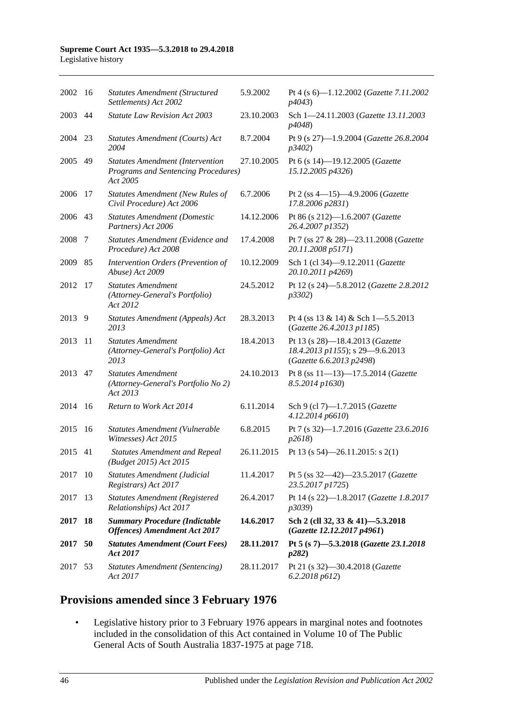#### **Supreme Court Act 1935—5.3.2018 to 29.4.2018** Legislative history

| 2002 16 |     | <b>Statutes Amendment (Structured</b><br>Settlements) Act 2002                             | 5.9.2002   | Pt 4 (s $6$ )-1.12.2002 ( <i>Gazette 7.11.2002</i><br>p4043                                    |
|---------|-----|--------------------------------------------------------------------------------------------|------------|------------------------------------------------------------------------------------------------|
| 2003 44 |     | <b>Statute Law Revision Act 2003</b>                                                       | 23.10.2003 | Sch 1-24.11.2003 (Gazette 13.11.2003<br><i>p4048</i> )                                         |
| 2004    | 23  | Statutes Amendment (Courts) Act<br>2004                                                    | 8.7.2004   | Pt 9 (s 27)-1.9.2004 (Gazette 26.8.2004<br>p3402                                               |
| 2005 49 |     | <b>Statutes Amendment (Intervention</b><br>Programs and Sentencing Procedures)<br>Act 2005 | 27.10.2005 | Pt 6 (s 14)-19.12.2005 (Gazette<br>15.12.2005 p4326)                                           |
| 2006    | 17  | <b>Statutes Amendment (New Rules of</b><br>Civil Procedure) Act 2006                       | 6.7.2006   | Pt 2 (ss 4-15)-4.9.2006 (Gazette<br>17.8.2006 p2831)                                           |
| 2006    | 43  | <b>Statutes Amendment (Domestic</b><br>Partners) Act 2006                                  | 14.12.2006 | Pt 86 (s 212)-1.6.2007 (Gazette<br>26.4.2007 p1352)                                            |
| 2008    | -7  | Statutes Amendment (Evidence and<br>Procedure) Act 2008                                    | 17.4.2008  | Pt 7 (ss 27 & 28)-23.11.2008 (Gazette<br>20.11.2008 p5171)                                     |
| 2009    | 85  | Intervention Orders (Prevention of<br>Abuse) Act 2009                                      | 10.12.2009 | Sch 1 (cl 34)-9.12.2011 (Gazette<br>20.10.2011 p4269)                                          |
| 2012    | 17  | <b>Statutes Amendment</b><br>(Attorney-General's Portfolio)<br>Act 2012                    | 24.5.2012  | Pt 12 (s 24)-5.8.2012 (Gazette 2.8.2012<br>p3302)                                              |
| 2013    | 9   | Statutes Amendment (Appeals) Act<br>2013                                                   | 28.3.2013  | Pt 4 (ss $13 \& 14$ ) & Sch 1-5.5.2013<br>(Gazette 26.4.2013 p1185)                            |
| 2013    | 11  | <b>Statutes Amendment</b><br>(Attorney-General's Portfolio) Act<br>2013                    | 18.4.2013  | Pt 13 (s 28)-18.4.2013 (Gazette<br>18.4.2013 p1155); s 29-9.6.2013<br>(Gazette 6.6.2013 p2498) |
| 2013    | 47  | <b>Statutes Amendment</b><br>(Attorney-General's Portfolio No 2)<br>Act 2013               | 24.10.2013 | Pt 8 (ss 11-13)-17.5.2014 (Gazette<br>8.5.2014 p1630)                                          |
| 2014    | -16 | Return to Work Act 2014                                                                    | 6.11.2014  | Sch 9 (cl 7)-1.7.2015 (Gazette<br>4.12.2014 p6610)                                             |
| 2015    | 16  | Statutes Amendment (Vulnerable<br>Witnesses) Act 2015                                      | 6.8.2015   | Pt 7 (s 32)-1.7.2016 (Gazette 23.6.2016<br>p2618                                               |
| 2015 41 |     | <b>Statutes Amendment and Repeal</b><br>(Budget 2015) Act 2015                             | 26.11.2015 | Pt 13 (s $54$ )-26.11.2015: s 2(1)                                                             |
| 2017    | -10 | Statutes Amendment (Judicial<br>Registrars) Act 2017                                       | 11.4.2017  | Pt 5 (ss 32-42)-23.5.2017 (Gazette<br>23.5.2017 p1725)                                         |
| 2017    | 13  | <b>Statutes Amendment (Registered</b><br>Relationships) Act 2017                           | 26.4.2017  | Pt 14 (s 22)-1.8.2017 (Gazette 1.8.2017<br>p3039)                                              |
| 2017    | 18  | <b>Summary Procedure (Indictable</b><br><b>Offences)</b> Amendment Act 2017                | 14.6.2017  | Sch 2 (cll 32, 33 & 41)-5.3.2018<br>(Gazette 12.12.2017 p4961)                                 |
| 2017 50 |     | <b>Statutes Amendment (Court Fees)</b><br>Act 2017                                         | 28.11.2017 | Pt 5 (s 7)-5.3.2018 (Gazette 23.1.2018<br>p282)                                                |
| 2017    | 53  | <b>Statutes Amendment (Sentencing)</b><br>Act 2017                                         | 28.11.2017 | Pt 21 (s 32)-30.4.2018 (Gazette<br>6.2.2018 p612                                               |

# **Provisions amended since 3 February 1976**

• Legislative history prior to 3 February 1976 appears in marginal notes and footnotes included in the consolidation of this Act contained in Volume 10 of The Public General Acts of South Australia 1837-1975 at page 718.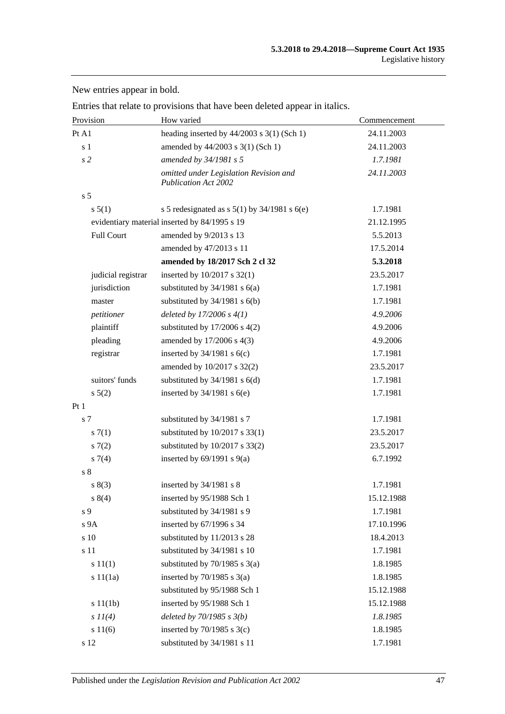Provision **How varied** Commencement **Commencement** Pt A1 heading inserted by 44/2003 s 3(1) (Sch 1) 24.11.2003 s 1 amended by 44/2003 s 3(1) (Sch 1) 24.11.2003 *s 2 amended by 34/1981 s 5 1.7.1981 omitted under Legislation Revision and Publication Act 2002 24.11.2003* s 5 s 5(1) s 5 redesignated as s 5(1) by 34/1981 s 6(e) 1.7.1981 evidentiary material inserted by 84/1995 s 19 21.12.1995 Full Court amended by 9/2013 s 13 5.5.2013 amended by 47/2013 s 11 17.5.2014 **amended by 18/2017 Sch 2 cl 32 5.3.2018** judicial registrar inserted by 10/2017 s 32(1) 23.5.2017 jurisdiction substituted by  $34/1981$  s  $6(a)$  1.7.1981 master substituted by 34/1981 s 6(b) 1.7.1981 *petitioner deleted by 17/2006 s 4(1) 4.9.2006* plaintiff substituted by 17/2006 s 4(2) 4.9.2006 pleading amended by 17/2006 s 4(3) 4.9.2006 registrar inserted by  $34/1981$  s 6(c) 1.7.1981 amended by 10/2017 s 32(2) 23.5.2017 suitors' funds substituted by  $34/1981$  s  $6(d)$  1.7.1981 s 5(2) inserted by 34/1981 s 6(e) 1.7.1981 Pt 1 s 7 substituted by 34/1981 s 7 1.7.1981 s 7(1) substituted by 10/2017 s 33(1) 23.5.2017 s 7(2) substituted by 10/2017 s 33(2) 23.5.2017 s 7(4) inserted by 69/1991 s 9(a) 6.7.1992 s 8 s 8(3) inserted by 34/1981 s 8 1.7.1981 s 8(4) inserted by 95/1988 Sch 1 15.12.1988 s 9 substituted by 34/1981 s 9 1.7.1981 s 9A inserted by 67/1996 s 34 17.10.1996 s 10 substituted by 11/2013 s 28 18.4.2013 s 11 substituted by 34/1981 s 10 1.7.1981 s 11(1) substituted by 70/1985 s 3(a) 1.8.1985 s 11(1a) inserted by 70/1985 s 3(a) 1.8.1985 substituted by 95/1988 Sch 1 15.12.1988 s 11(1b) inserted by 95/1988 Sch 1 15.12.1988 *s 11(4) deleted by 70/1985 s 3(b) 1.8.1985* s 11(6) inserted by 70/1985 s 3(c) 1.8.1985 s 12 substituted by 34/1981 s 11 1.7.1981

New entries appear in bold.

Entries that relate to provisions that have been deleted appear in italics.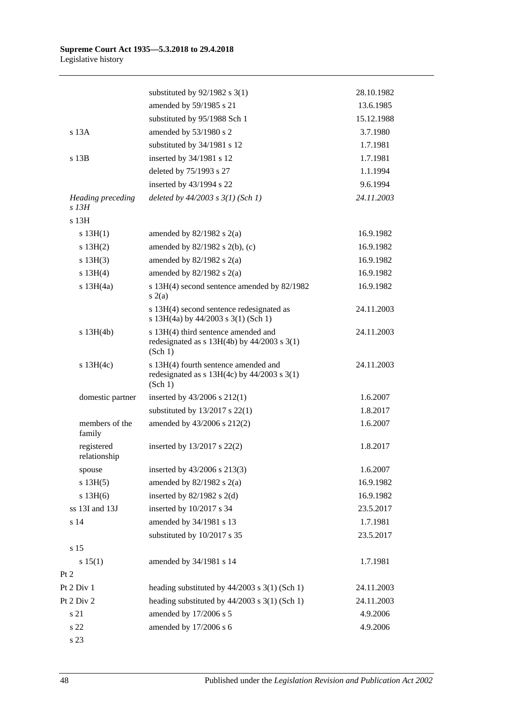|                                   | substituted by $92/1982$ s 3(1)                                                                    | 28.10.1982 |
|-----------------------------------|----------------------------------------------------------------------------------------------------|------------|
|                                   | amended by 59/1985 s 21                                                                            | 13.6.1985  |
|                                   | substituted by 95/1988 Sch 1                                                                       | 15.12.1988 |
| s 13A                             | amended by 53/1980 s 2                                                                             | 3.7.1980   |
|                                   | substituted by 34/1981 s 12                                                                        | 1.7.1981   |
| $s$ 13 $B$                        | inserted by 34/1981 s 12                                                                           | 1.7.1981   |
|                                   | deleted by 75/1993 s 27                                                                            | 1.1.1994   |
|                                   | inserted by 43/1994 s 22                                                                           | 9.6.1994   |
| <b>Heading preceding</b><br>s 13H | deleted by 44/2003 s 3(1) (Sch 1)                                                                  | 24.11.2003 |
| s 13H                             |                                                                                                    |            |
| s 13H(1)                          | amended by $82/1982$ s $2(a)$                                                                      | 16.9.1982  |
| s 13H(2)                          | amended by $82/1982$ s $2(b)$ , (c)                                                                | 16.9.1982  |
| s 13H(3)                          | amended by $82/1982$ s $2(a)$                                                                      | 16.9.1982  |
| s 13H(4)                          | amended by $82/1982$ s $2(a)$                                                                      | 16.9.1982  |
| $s$ 13H $(4a)$                    | s 13H(4) second sentence amended by 82/1982<br>s(2(a)                                              | 16.9.1982  |
|                                   | s 13H(4) second sentence redesignated as<br>s 13H(4a) by 44/2003 s 3(1) (Sch 1)                    | 24.11.2003 |
| $s$ 13H(4b)                       | s 13H(4) third sentence amended and<br>redesignated as $s$ 13H(4b) by 44/2003 $s$ 3(1)<br>(Sch 1)  | 24.11.2003 |
| $s$ 13H $(4c)$                    | s 13H(4) fourth sentence amended and<br>redesignated as $s$ 13H(4c) by 44/2003 $s$ 3(1)<br>(Sch 1) | 24.11.2003 |
| domestic partner                  | inserted by $43/2006$ s $212(1)$                                                                   | 1.6.2007   |
|                                   | substituted by $13/2017$ s $22(1)$                                                                 | 1.8.2017   |
| members of the<br>family          | amended by 43/2006 s 212(2)                                                                        | 1.6.2007   |
| registered<br>relationship        | inserted by 13/2017 s 22(2)                                                                        | 1.8.2017   |
| spouse                            | inserted by 43/2006 s 213(3)                                                                       | 1.6.2007   |
| s 13H(5)                          | amended by $82/1982$ s $2(a)$                                                                      | 16.9.1982  |
| $s$ 13H $(6)$                     | inserted by $82/1982$ s 2(d)                                                                       | 16.9.1982  |
| ss 13I and 13J                    | inserted by 10/2017 s 34                                                                           | 23.5.2017  |
| s 14                              | amended by 34/1981 s 13                                                                            | 1.7.1981   |
|                                   | substituted by 10/2017 s 35                                                                        | 23.5.2017  |
| s 15                              |                                                                                                    |            |
| s 15(1)                           | amended by 34/1981 s 14                                                                            | 1.7.1981   |
| Pt 2                              |                                                                                                    |            |
| Pt 2 Div 1                        | heading substituted by $44/2003$ s 3(1) (Sch 1)                                                    | 24.11.2003 |
| Pt 2 Div 2                        | heading substituted by $44/2003$ s 3(1) (Sch 1)                                                    | 24.11.2003 |
| s 21                              | amended by 17/2006 s 5                                                                             | 4.9.2006   |
| s 22                              | amended by 17/2006 s 6                                                                             | 4.9.2006   |
| s 23                              |                                                                                                    |            |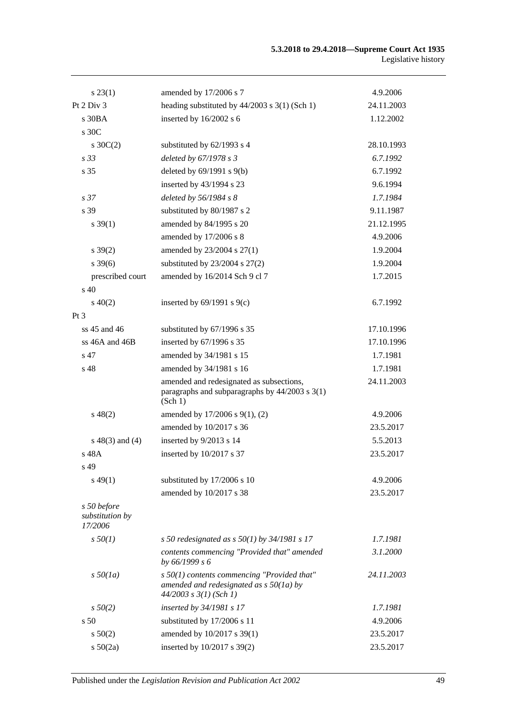| $s\,23(1)$                                | amended by 17/2006 s 7                                                                                                   | 4.9.2006   |
|-------------------------------------------|--------------------------------------------------------------------------------------------------------------------------|------------|
| Pt 2 Div 3                                | heading substituted by $44/2003$ s $3(1)$ (Sch 1)                                                                        | 24.11.2003 |
| $s$ 30BA                                  | inserted by 16/2002 s 6                                                                                                  | 1.12.2002  |
| s 30C                                     |                                                                                                                          |            |
| $s \, 30C(2)$                             | substituted by 62/1993 s 4                                                                                               | 28.10.1993 |
| s <sub>33</sub>                           | deleted by 67/1978 s 3                                                                                                   | 6.7.1992   |
| s 35                                      | deleted by 69/1991 s 9(b)                                                                                                | 6.7.1992   |
|                                           | inserted by 43/1994 s 23                                                                                                 | 9.6.1994   |
| s <sub>37</sub>                           | deleted by 56/1984 s 8                                                                                                   | 1.7.1984   |
| s 39                                      | substituted by 80/1987 s 2                                                                                               | 9.11.1987  |
| $s \, 39(1)$                              | amended by 84/1995 s 20                                                                                                  | 21.12.1995 |
|                                           | amended by 17/2006 s 8                                                                                                   | 4.9.2006   |
| $s \, 39(2)$                              | amended by 23/2004 s 27(1)                                                                                               | 1.9.2004   |
| $s \frac{39(6)}{2}$                       | substituted by $23/2004$ s $27(2)$                                                                                       | 1.9.2004   |
| prescribed court                          | amended by 16/2014 Sch 9 cl 7                                                                                            | 1.7.2015   |
| s <sub>40</sub>                           |                                                                                                                          |            |
| $s\ 40(2)$                                | inserted by $69/1991$ s $9(c)$                                                                                           | 6.7.1992   |
| Pt 3                                      |                                                                                                                          |            |
| ss 45 and 46                              | substituted by 67/1996 s 35                                                                                              | 17.10.1996 |
| ss 46A and 46B                            | inserted by 67/1996 s 35                                                                                                 | 17.10.1996 |
| s 47                                      | amended by 34/1981 s 15                                                                                                  | 1.7.1981   |
| s 48                                      | amended by 34/1981 s 16                                                                                                  | 1.7.1981   |
|                                           | amended and redesignated as subsections,<br>paragraphs and subparagraphs by $44/2003$ s $3(1)$<br>(Sch 1)                | 24.11.2003 |
| $s\,48(2)$                                | amended by 17/2006 s 9(1), (2)                                                                                           | 4.9.2006   |
|                                           | amended by 10/2017 s 36                                                                                                  | 23.5.2017  |
| $s\ 48(3)$ and (4)                        | inserted by 9/2013 s 14                                                                                                  | 5.5.2013   |
| s 48A                                     | inserted by 10/2017 s 37                                                                                                 | 23.5.2017  |
| s 49                                      |                                                                                                                          |            |
| $s\,49(1)$                                | substituted by 17/2006 s 10                                                                                              | 4.9.2006   |
|                                           | amended by 10/2017 s 38                                                                                                  | 23.5.2017  |
| s 50 before<br>substitution by<br>17/2006 |                                                                                                                          |            |
| $s\,50(1)$                                | s 50 redesignated as s $50(1)$ by 34/1981 s 17                                                                           | 1.7.1981   |
|                                           | contents commencing "Provided that" amended<br>by 66/1999 s 6                                                            | 3.1.2000   |
| $s\,50(1a)$                               | $s$ 50(1) contents commencing "Provided that"<br>amended and redesignated as $s$ 50(1a) by<br>$44/2003$ s $3(1)$ (Sch 1) | 24.11.2003 |
| $s\,50(2)$                                | inserted by 34/1981 s 17                                                                                                 | 1.7.1981   |
| s <sub>50</sub>                           | substituted by 17/2006 s 11                                                                                              | 4.9.2006   |
| $s\,50(2)$                                | amended by 10/2017 s 39(1)                                                                                               | 23.5.2017  |
| $s\ 50(2a)$                               | inserted by 10/2017 s 39(2)                                                                                              | 23.5.2017  |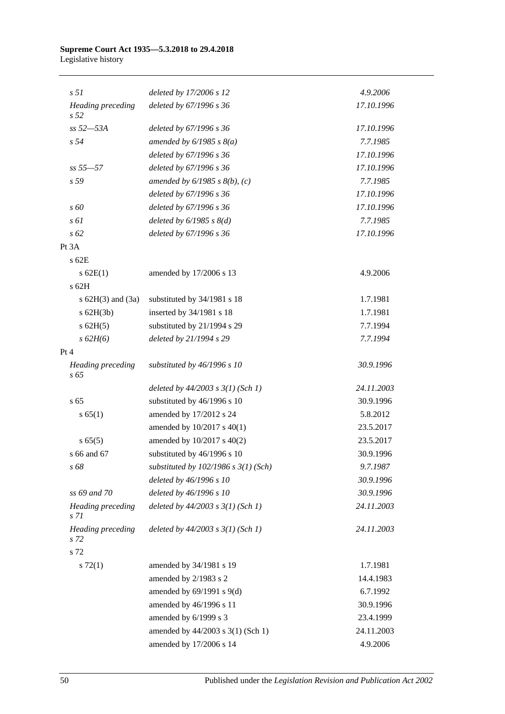#### **Supreme Court Act 1935—5.3.2018 to 29.4.2018** Legislative history

| s <sub>51</sub>                      | deleted by 17/2006 s 12                  | 4.9.2006   |
|--------------------------------------|------------------------------------------|------------|
| Heading preceding<br>s <sub>52</sub> | deleted by 67/1996 s 36                  | 17.10.1996 |
| ss 52-53A                            | deleted by 67/1996 s 36                  | 17.10.1996 |
| s <sub>54</sub>                      | amended by $6/1985$ s $8(a)$             | 7.7.1985   |
|                                      | deleted by 67/1996 s 36                  | 17.10.1996 |
| $ss 55 - 57$                         | deleted by 67/1996 s 36                  | 17.10.1996 |
| s 59                                 | amended by $6/1985$ s $8(b)$ , (c)       | 7.7.1985   |
|                                      | deleted by 67/1996 s 36                  | 17.10.1996 |
| $\sqrt{s}$ 60                        | deleted by 67/1996 s 36                  | 17.10.1996 |
| s 61                                 | deleted by $6/1985$ s $8(d)$             | 7.7.1985   |
| $s\,62$                              | deleted by 67/1996 s 36                  | 17.10.1996 |
| Pt 3A                                |                                          |            |
| $s$ 62 $E$                           |                                          |            |
| $s$ 62E(1)                           | amended by 17/2006 s 13                  | 4.9.2006   |
| s 62H                                |                                          |            |
| s $62H(3)$ and $(3a)$                | substituted by 34/1981 s 18              | 1.7.1981   |
| $s$ 62H(3b)                          | inserted by 34/1981 s 18                 | 1.7.1981   |
| $s$ 62H(5)                           | substituted by 21/1994 s 29              | 7.7.1994   |
| $s$ 62H(6)                           | deleted by 21/1994 s 29                  | 7.7.1994   |
| Pt 4                                 |                                          |            |
| Heading preceding<br>$s\,65$         | substituted by 46/1996 s 10              | 30.9.1996  |
|                                      | deleted by $44/2003$ s $3(1)$ (Sch 1)    | 24.11.2003 |
| s <sub>65</sub>                      | substituted by 46/1996 s 10              | 30.9.1996  |
| s 65(1)                              | amended by 17/2012 s 24                  | 5.8.2012   |
|                                      | amended by $10/2017$ s $40(1)$           | 23.5.2017  |
| s 65(5)                              | amended by 10/2017 s 40(2)               | 23.5.2017  |
| s 66 and 67                          | substituted by 46/1996 s 10              | 30.9.1996  |
| s 68                                 | substituted by $102/1986$ s $3(1)$ (Sch) | 9.7.1987   |
|                                      | deleted by 46/1996 s 10                  | 30.9.1996  |
| ss 69 and 70                         | deleted by 46/1996 s 10                  | 30.9.1996  |
| Heading preceding<br>s 71            | deleted by $44/2003$ s $3(1)$ (Sch 1)    | 24.11.2003 |
| Heading preceding<br>s 72            | deleted by $44/2003$ s $3(1)$ (Sch 1)    | 24.11.2003 |
| s 72                                 |                                          |            |
| $s \, 72(1)$                         | amended by 34/1981 s 19                  | 1.7.1981   |
|                                      | amended by 2/1983 s 2                    | 14.4.1983  |
|                                      | amended by $69/1991$ s $9(d)$            | 6.7.1992   |
|                                      | amended by 46/1996 s 11                  | 30.9.1996  |
|                                      | amended by 6/1999 s 3                    | 23.4.1999  |
|                                      | amended by 44/2003 s 3(1) (Sch 1)        | 24.11.2003 |
|                                      | amended by 17/2006 s 14                  | 4.9.2006   |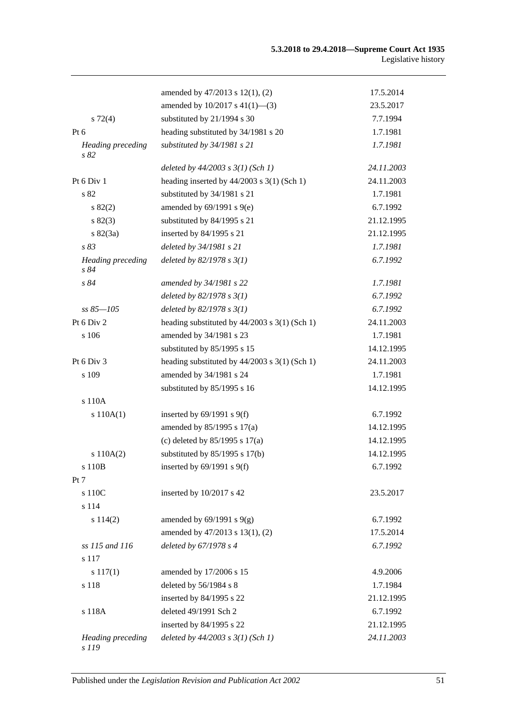|                                   | amended by 47/2013 s 12(1), (2)                   | 17.5.2014  |
|-----------------------------------|---------------------------------------------------|------------|
|                                   | amended by $10/2017$ s $41(1)$ —(3)               | 23.5.2017  |
| $s\ 72(4)$                        | substituted by 21/1994 s 30                       | 7.7.1994   |
| Pt $6$                            | heading substituted by 34/1981 s 20               | 1.7.1981   |
| <b>Heading</b> preceding<br>s 82  | substituted by 34/1981 s 21                       | 1.7.1981   |
|                                   | deleted by $44/2003$ s $3(1)$ (Sch 1)             | 24.11.2003 |
| Pt 6 Div 1                        | heading inserted by $44/2003$ s 3(1) (Sch 1)      | 24.11.2003 |
| s 82                              | substituted by 34/1981 s 21                       | 1.7.1981   |
| s 82(2)                           | amended by $69/1991$ s $9(e)$                     | 6.7.1992   |
| s 82(3)                           | substituted by 84/1995 s 21                       | 21.12.1995 |
| $s \, 82(3a)$                     | inserted by 84/1995 s 21                          | 21.12.1995 |
| s83                               | deleted by 34/1981 s 21                           | 1.7.1981   |
| <b>Heading</b> preceding<br>s84   | deleted by $82/1978 s 3(1)$                       | 6.7.1992   |
| s 84                              | amended by 34/1981 s 22                           | 1.7.1981   |
|                                   | deleted by $82/1978 s 3(1)$                       | 6.7.1992   |
| $ss 85 - 105$                     | deleted by $82/1978 s 3(1)$                       | 6.7.1992   |
| Pt 6 Div 2                        | heading substituted by $44/2003$ s $3(1)$ (Sch 1) | 24.11.2003 |
| s 106                             | amended by 34/1981 s 23                           | 1.7.1981   |
|                                   | substituted by 85/1995 s 15                       | 14.12.1995 |
| Pt 6 Div 3                        | heading substituted by $44/2003$ s $3(1)$ (Sch 1) | 24.11.2003 |
| s 109                             | amended by 34/1981 s 24                           | 1.7.1981   |
|                                   | substituted by 85/1995 s 16                       | 14.12.1995 |
| s 110A                            |                                                   |            |
| s 110A(1)                         | inserted by $69/1991$ s $9(f)$                    | 6.7.1992   |
|                                   | amended by $85/1995$ s $17(a)$                    | 14.12.1995 |
|                                   | (c) deleted by $85/1995$ s 17(a)                  | 14.12.1995 |
| s 110A(2)                         | substituted by $85/1995$ s 17(b)                  | 14.12.1995 |
| s 110B                            | inserted by $69/1991$ s $9(f)$                    | 6.7.1992   |
| Pt 7                              |                                                   |            |
| s 110C                            | inserted by 10/2017 s 42                          | 23.5.2017  |
| s 114                             |                                                   |            |
| s 114(2)                          | amended by $69/1991$ s $9(g)$                     | 6.7.1992   |
|                                   | amended by 47/2013 s 13(1), (2)                   | 17.5.2014  |
| ss 115 and 116                    | deleted by 67/1978 s 4                            | 6.7.1992   |
| s 117                             |                                                   |            |
| $s\ 117(1)$                       | amended by 17/2006 s 15                           | 4.9.2006   |
| s 118                             | deleted by 56/1984 s 8                            | 1.7.1984   |
|                                   | inserted by 84/1995 s 22                          | 21.12.1995 |
| s 118A                            | deleted 49/1991 Sch 2                             | 6.7.1992   |
|                                   | inserted by 84/1995 s 22                          | 21.12.1995 |
| <b>Heading</b> preceding<br>s 119 | deleted by $44/2003$ s $3(1)$ (Sch 1)             | 24.11.2003 |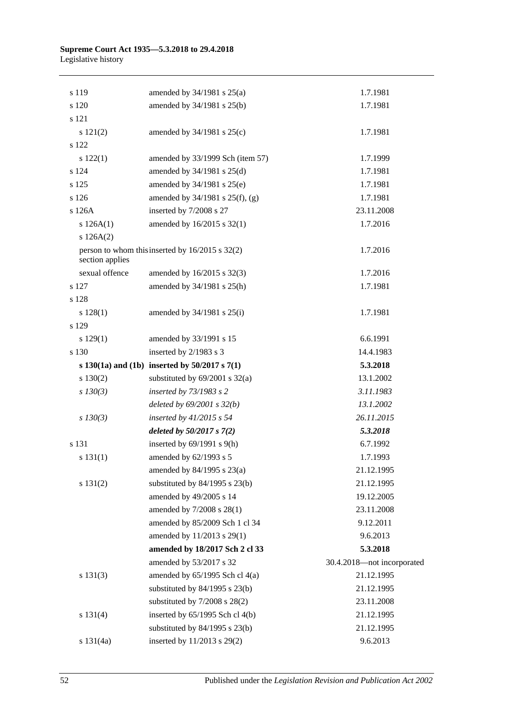#### **Supreme Court Act 1935—5.3.2018 to 29.4.2018** Legislative history

| s 119           | amended by $34/1981$ s $25(a)$                        | 1.7.1981                   |
|-----------------|-------------------------------------------------------|----------------------------|
| s 120           | amended by 34/1981 s 25(b)                            | 1.7.1981                   |
| s 121           |                                                       |                            |
| s 121(2)        | amended by $34/1981$ s $25(c)$                        | 1.7.1981                   |
| s 122           |                                                       |                            |
| s 122(1)        | amended by 33/1999 Sch (item 57)                      | 1.7.1999                   |
| s 124           | amended by 34/1981 s 25(d)                            | 1.7.1981                   |
| s 125           | amended by 34/1981 s 25(e)                            | 1.7.1981                   |
| s 126           | amended by 34/1981 s 25(f), (g)                       | 1.7.1981                   |
| s 126A          | inserted by 7/2008 s 27                               | 23.11.2008                 |
| s $126A(1)$     | amended by 16/2015 s 32(1)                            | 1.7.2016                   |
| s 126A(2)       |                                                       |                            |
| section applies | person to whom this inserted by 16/2015 s 32(2)       | 1.7.2016                   |
| sexual offence  | amended by 16/2015 s 32(3)                            | 1.7.2016                   |
| s 127           | amended by 34/1981 s 25(h)                            | 1.7.1981                   |
| s 128           |                                                       |                            |
| s 128(1)        | amended by $34/1981$ s $25(i)$                        | 1.7.1981                   |
| s 129           |                                                       |                            |
| s 129(1)        | amended by 33/1991 s 15                               | 6.6.1991                   |
| s 130           | inserted by 2/1983 s 3                                | 14.4.1983                  |
|                 | s $130(1a)$ and $(1b)$ inserted by $50/2017$ s $7(1)$ | 5.3.2018                   |
| s 130(2)        | substituted by $69/2001$ s $32(a)$                    | 13.1.2002                  |
| $s$ 130(3)      | inserted by 73/1983 s 2                               | 3.11.1983                  |
|                 | deleted by $69/2001$ s $32(b)$                        | 13.1.2002                  |
| $s$ 130(3)      | inserted by $41/2015$ s 54                            | 26.11.2015                 |
|                 | deleted by $50/2017 s 7(2)$                           | 5.3.2018                   |
| s 131           | inserted by $69/1991$ s $9(h)$                        | 6.7.1992                   |
| s 131(1)        | amended by 62/1993 s 5                                | 1.7.1993                   |
|                 | amended by $84/1995$ s $23(a)$                        | 21.12.1995                 |
| s 131(2)        | substituted by $84/1995$ s $23(b)$                    | 21.12.1995                 |
|                 | amended by 49/2005 s 14                               | 19.12.2005                 |
|                 | amended by 7/2008 s 28(1)                             | 23.11.2008                 |
|                 | amended by 85/2009 Sch 1 cl 34                        | 9.12.2011                  |
|                 | amended by 11/2013 s 29(1)                            | 9.6.2013                   |
|                 | amended by 18/2017 Sch 2 cl 33                        | 5.3.2018                   |
|                 | amended by 53/2017 s 32                               | 30.4.2018-not incorporated |
| s 131(3)        | amended by $65/1995$ Sch cl $4(a)$                    | 21.12.1995                 |
|                 | substituted by $84/1995$ s $23(b)$                    | 21.12.1995                 |
|                 | substituted by $7/2008$ s $28(2)$                     | 23.11.2008                 |
| s 131(4)        | inserted by 65/1995 Sch cl 4(b)                       | 21.12.1995                 |
|                 | substituted by $84/1995$ s $23(b)$                    | 21.12.1995                 |
| s 131(4a)       | inserted by 11/2013 s 29(2)                           | 9.6.2013                   |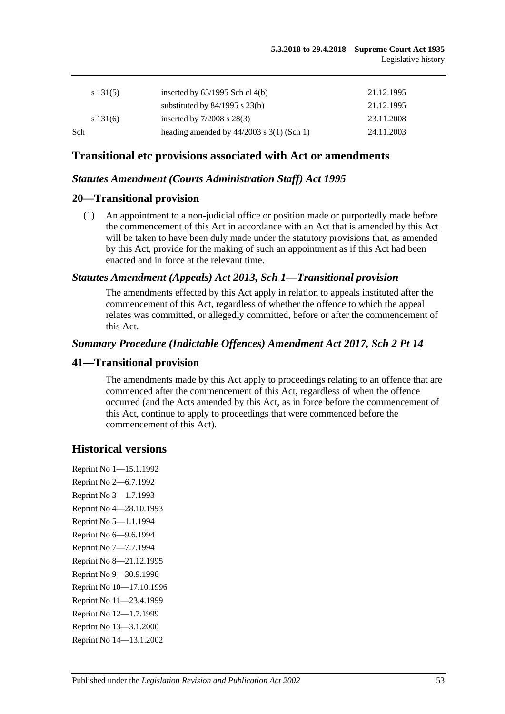|     | s 131(5) | inserted by $65/1995$ Sch cl $4(b)$           | 21.12.1995 |
|-----|----------|-----------------------------------------------|------------|
|     |          | substituted by $84/1995$ s $23(b)$            | 21.12.1995 |
|     | s 131(6) | inserted by $7/2008$ s $28(3)$                | 23.11.2008 |
| Sch |          | heading amended by $44/2003$ s $3(1)$ (Sch 1) | 24.11.2003 |
|     |          |                                               |            |

# **Transitional etc provisions associated with Act or amendments**

### *Statutes Amendment (Courts Administration Staff) Act 1995*

### **20—Transitional provision**

(1) An appointment to a non-judicial office or position made or purportedly made before the commencement of this Act in accordance with an Act that is amended by this Act will be taken to have been duly made under the statutory provisions that, as amended by this Act, provide for the making of such an appointment as if this Act had been enacted and in force at the relevant time.

### *Statutes Amendment (Appeals) Act 2013, Sch 1—Transitional provision*

The amendments effected by this Act apply in relation to appeals instituted after the commencement of this Act, regardless of whether the offence to which the appeal relates was committed, or allegedly committed, before or after the commencement of this Act.

### *Summary Procedure (Indictable Offences) Amendment Act 2017, Sch 2 Pt 14*

### **41—Transitional provision**

The amendments made by this Act apply to proceedings relating to an offence that are commenced after the commencement of this Act, regardless of when the offence occurred (and the Acts amended by this Act, as in force before the commencement of this Act, continue to apply to proceedings that were commenced before the commencement of this Act).

# **Historical versions**

Reprint No 1—15.1.1992 Reprint No 2—6.7.1992 Reprint No 3—1.7.1993 Reprint No 4—28.10.1993 Reprint No 5—1.1.1994 Reprint No 6—9.6.1994 Reprint No 7—7.7.1994 Reprint No 8—21.12.1995 Reprint No 9—30.9.1996 Reprint No 10—17.10.1996 Reprint No 11—23.4.1999 Reprint No 12—1.7.1999 Reprint No 13—3.1.2000 Reprint No 14—13.1.2002